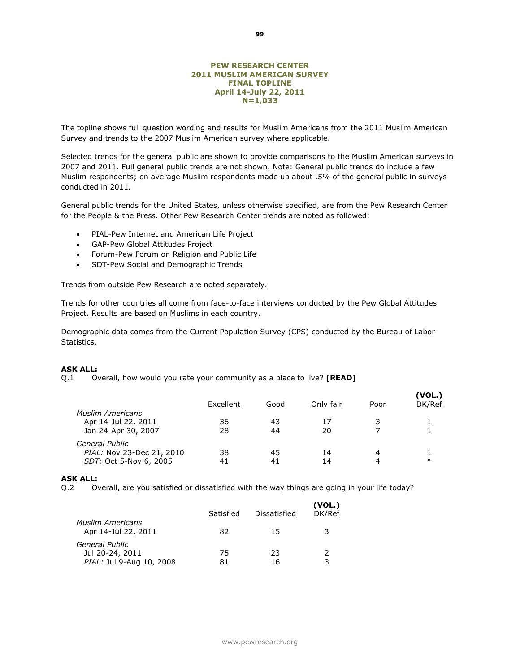# **PEW RESEARCH CENTER 2011 MUSLIM AMERICAN SURVEY FINAL TOPLINE April 14-July 22, 2011 N=1,033**

The topline shows full question wording and results for Muslim Americans from the 2011 Muslim American Survey and trends to the 2007 Muslim American survey where applicable.

Selected trends for the general public are shown to provide comparisons to the Muslim American surveys in 2007 and 2011. Full general public trends are not shown. Note: General public trends do include a few Muslim respondents; on average Muslim respondents made up about .5% of the general public in surveys conducted in 2011.

General public trends for the United States, unless otherwise specified, are from the Pew Research Center for the People & the Press. Other Pew Research Center trends are noted as followed:

- PIAL-Pew Internet and American Life Project
- GAP-Pew Global Attitudes Project
- Forum-Pew Forum on Religion and Public Life
- SDT-Pew Social and Demographic Trends

Trends from outside Pew Research are noted separately.

Trends for other countries all come from face-to-face interviews conducted by the Pew Global Attitudes Project. Results are based on Muslims in each country.

Demographic data comes from the Current Population Survey (CPS) conducted by the Bureau of Labor Statistics.

#### **ASK ALL:**

Q.1 Overall, how would you rate your community as a place to live? **[READ]** 

| <b>Muslim Americans</b>                                               | Excellent | Good     | Only fair | Poor   | (VOL.)<br>DK/Ref |
|-----------------------------------------------------------------------|-----------|----------|-----------|--------|------------------|
| Apr 14-Jul 22, 2011<br>Jan 24-Apr 30, 2007                            | 36<br>28  | 43<br>44 | 17<br>20  | 3      |                  |
| General Public<br>PIAL: Nov 23-Dec 21, 2010<br>SDT: Oct 5-Nov 6, 2005 | 38<br>41  | 45<br>41 | 14<br>14  | 4<br>4 | $\ast$           |

#### **ASK ALL:**

Q.2 Overall, are you satisfied or dissatisfied with the way things are going in your life today?

|                                                | Satisfied | Dissatisfied | (VOL.)<br>DK/Ref |
|------------------------------------------------|-----------|--------------|------------------|
| <b>Muslim Americans</b><br>Apr 14-Jul 22, 2011 | 82        | 15           | 3                |
| General Public<br>Jul 20-24, 2011              | 75        | 23.          | 2                |
| PIAL: Jul 9-Aug 10, 2008                       | 81        | 16           | ર                |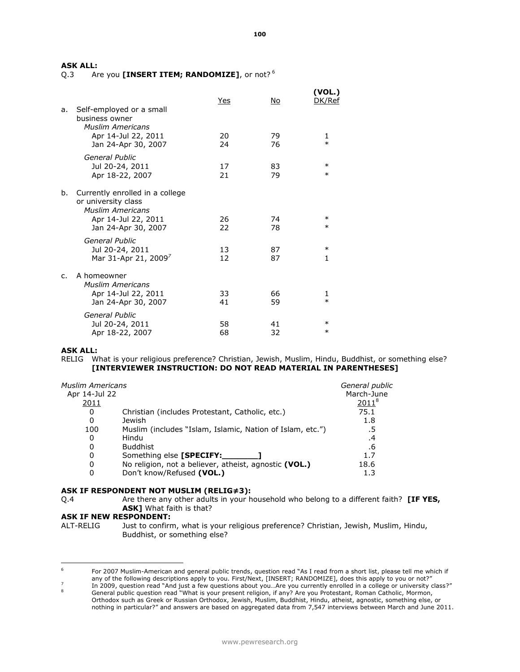Q.3 Are you **[INSERT ITEM; RANDOMIZE]**, or not? <sup>6</sup>

|    |                                                                                      | Yes      | No.      | (VOL.)<br>DK/Ref |
|----|--------------------------------------------------------------------------------------|----------|----------|------------------|
| a. | Self-employed or a small<br>business owner<br><b>Muslim Americans</b>                |          |          |                  |
|    | Apr 14-Jul 22, 2011<br>Jan 24-Apr 30, 2007                                           | 20<br>24 | 79<br>76 | 1<br>$\ast$      |
|    | General Public<br>Jul 20-24, 2011<br>Apr 18-22, 2007                                 | 17<br>21 | 83<br>79 | $\ast$<br>$\ast$ |
| b. | Currently enrolled in a college<br>or university class<br><b>Muslim Americans</b>    |          |          |                  |
|    | Apr 14-Jul 22, 2011<br>Jan 24-Apr 30, 2007                                           | 26<br>22 | 74<br>78 | $\ast$<br>$\ast$ |
|    | General Public<br>Jul 20-24, 2011<br>Mar 31-Apr 21, 2009 <sup>7</sup>                | 13<br>12 | 87<br>87 | $\ast$<br>1      |
| C. | A homeowner<br><b>Muslim Americans</b><br>Apr 14-Jul 22, 2011<br>Jan 24-Apr 30, 2007 | 33<br>41 | 66<br>59 | 1<br>$\ast$      |
|    | <b>General Public</b><br>Jul 20-24, 2011<br>Apr 18-22, 2007                          | 58<br>68 | 41<br>32 | $\ast$<br>$\ast$ |

# **ASK ALL:**

RELIG What is your religious preference? Christian, Jewish, Muslim, Hindu, Buddhist, or something else? **[INTERVIEWER INSTRUCTION: DO NOT READ MATERIAL IN PARENTHESES]**

| Muslim Americans<br>Apr 14-Jul 22 |                                                           | General public<br>March-June |
|-----------------------------------|-----------------------------------------------------------|------------------------------|
| <u>2011</u>                       |                                                           | $2011^{8}$                   |
| 0                                 | Christian (includes Protestant, Catholic, etc.)           | 75.1                         |
| 0                                 | Jewish                                                    | 1.8                          |
| 100                               | Muslim (includes "Islam, Islamic, Nation of Islam, etc.") | .5                           |
| 0                                 | Hindu                                                     | .4                           |
| 0                                 | <b>Buddhist</b>                                           | .6                           |
| 0                                 | Something else [SPECIFY:                                  | 1.7                          |
| 0                                 | No religion, not a believer, atheist, agnostic (VOL.)     | 18.6                         |
| 0                                 | Don't know/Refused (VOL.)                                 | 1.3                          |
|                                   |                                                           |                              |

# **ASK IF RESPONDENT NOT MUSLIM (RELIG≠3):**

Q.4 Are there any other adults in your household who belong to a different faith? **[IF YES, ASK]** What faith is that?

# **ASK IF NEW RESPONDENT:**

ALT-RELIG Just to confirm, what is your religious preference? Christian, Jewish, Muslim, Hindu, Buddhist, or something else?

<sup>6</sup> <sup>6</sup> For 2007 Muslim-American and general public trends, question read "As I read from a short list, please tell me which if any of the following descriptions apply to you. First/Next, [INSERT; RANDOMIZE], does this apply to you or not?"

<sup>7</sup> In 2009, question read "And just a few questions about you…Are you currently enrolled in a college or university class?"

<sup>8</sup> General public question read "What is your present religion, if any? Are you Protestant, Roman Catholic, Mormon, Orthodox such as Greek or Russian Orthodox, Jewish, Muslim, Buddhist, Hindu, atheist, agnostic, something else, or nothing in particular?" and answers are based on aggregated data from 7,547 interviews between March and June 2011.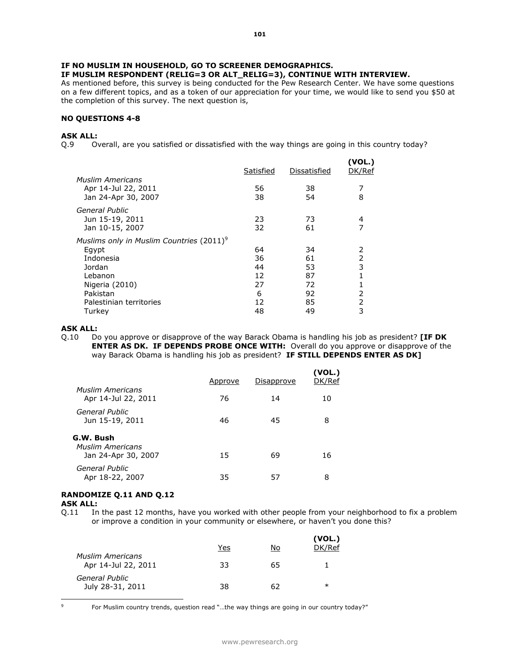# **IF MUSLIM RESPONDENT (RELIG=3 OR ALT\_RELIG=3), CONTINUE WITH INTERVIEW.**

As mentioned before, this survey is being conducted for the Pew Research Center. We have some questions on a few different topics, and as a token of our appreciation for your time, we would like to send you \$50 at the completion of this survey. The next question is,

#### **NO QUESTIONS 4-8**

# **ASK ALL:**

Q.9 Overall, are you satisfied or dissatisfied with the way things are going in this country today?

| <b>Muslim Americans</b>                                                                                                                                  | Satisfied                             | Dissatisfied                           | (VOL.)<br>DK/Ref           |
|----------------------------------------------------------------------------------------------------------------------------------------------------------|---------------------------------------|----------------------------------------|----------------------------|
| Apr 14-Jul 22, 2011<br>Jan 24-Apr 30, 2007                                                                                                               | 56<br>38                              | 38<br>54                               | 8                          |
| <b>General Public</b><br>Jun 15-19, 2011<br>Jan 10-15, 2007                                                                                              | 23<br>32                              | 73<br>61                               | 4<br>7                     |
| Muslims only in Muslim Countries (2011) <sup>9</sup><br>Egypt<br>Indonesia<br>Jordan<br>Lebanon<br>Nigeria (2010)<br>Pakistan<br>Palestinian territories | 64<br>36<br>44<br>12<br>27<br>6<br>12 | 34<br>61<br>53<br>87<br>72<br>92<br>85 | 2<br>2<br>3<br>1<br>2<br>2 |
| Turkey                                                                                                                                                   | 48                                    | 49                                     | 3                          |

# **ASK ALL:**

Q.10 Do you approve or disapprove of the way Barack Obama is handling his job as president? **[IF DK ENTER AS DK. IF DEPENDS PROBE ONCE WITH:** Overall do you approve or disapprove of the way Barack Obama is handling his job as president? **IF STILL DEPENDS ENTER AS DK]**

|                                                | Approve | Disapprove | (VOL.)<br>DK/Ref |
|------------------------------------------------|---------|------------|------------------|
| <b>Muslim Americans</b><br>Apr 14-Jul 22, 2011 | 76      | 14         | 10               |
| General Public<br>Jun 15-19, 2011              | 46      | 45         | 8                |
| G.W. Bush<br><b>Muslim Americans</b>           | 15      | 69         | 16               |
| Jan 24-Apr 30, 2007<br>General Public          |         |            |                  |
| Apr 18-22, 2007                                | 35      | 57         | 8                |

# **RANDOMIZE Q.11 AND Q.12**

**ASK ALL:**

Q.11 In the past 12 months, have you worked with other people from your neighborhood to fix a problem or improve a condition in your community or elsewhere, or haven't you done this?

|                                                | Yes | No | (VOL.)<br>DK/Ref |
|------------------------------------------------|-----|----|------------------|
| <b>Muslim Americans</b><br>Apr 14-Jul 22, 2011 | 33  | 65 |                  |
| General Public<br>July 28-31, 2011             | 38  | 62 | $\ast$           |

 $\mathsf{Q}$ 

For Muslim country trends, question read "...the way things are going in our country today?"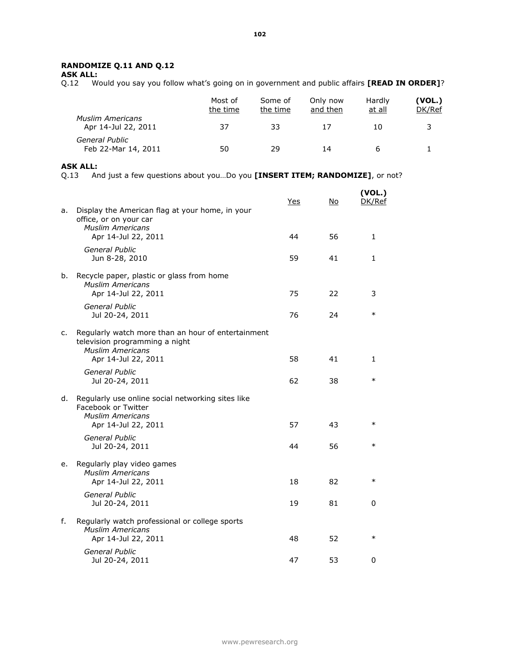# **RANDOMIZE Q.11 AND Q.12**

**ASK ALL:**

Q.12 Would you say you follow what's going on in government and public affairs **[READ IN ORDER]**?

|                                                | Most of<br>the time | Some of<br>the time | Only now<br>and then | Hardly<br>at all | (VOL.)<br>DK/Ref |
|------------------------------------------------|---------------------|---------------------|----------------------|------------------|------------------|
| <b>Muslim Americans</b><br>Apr 14-Jul 22, 2011 | 37                  | 33                  |                      | 10               | 3                |
| General Public<br>Feb 22-Mar 14, 2011          | 50                  | 29                  | 14                   |                  |                  |

# **ASK ALL:**

Q.13 And just a few questions about you…Do you **[INSERT ITEM; RANDOMIZE]**, or not?

|    |                                                                                                                             | Yes | No | (VOL.)<br>DK/Ref |
|----|-----------------------------------------------------------------------------------------------------------------------------|-----|----|------------------|
| a. | Display the American flag at your home, in your<br>office, or on your car<br><b>Muslim Americans</b><br>Apr 14-Jul 22, 2011 | 44  | 56 | $\mathbf{1}$     |
|    |                                                                                                                             |     |    |                  |
|    | General Public<br>Jun 8-28, 2010                                                                                            | 59  | 41 | 1                |
| b. | Recycle paper, plastic or glass from home<br><b>Muslim Americans</b><br>Apr 14-Jul 22, 2011                                 | 75  | 22 | 3                |
|    | General Public<br>Jul 20-24, 2011                                                                                           | 76  | 24 | $\ast$           |
| c. | Regularly watch more than an hour of entertainment<br>television programming a night<br><b>Muslim Americans</b>             |     |    |                  |
|    | Apr 14-Jul 22, 2011                                                                                                         | 58  | 41 | 1                |
|    | <b>General Public</b><br>Jul 20-24, 2011                                                                                    | 62  | 38 | $\ast$           |
| d. | Regularly use online social networking sites like<br>Facebook or Twitter                                                    |     |    |                  |
|    | <b>Muslim Americans</b><br>Apr 14-Jul 22, 2011                                                                              | 57  | 43 | $\ast$           |
|    | General Public<br>Jul 20-24, 2011                                                                                           | 44  | 56 | $\ast$           |
| е. | Regularly play video games<br><b>Muslim Americans</b><br>Apr 14-Jul 22, 2011                                                | 18  | 82 | $\ast$           |
|    | General Public<br>Jul 20-24, 2011                                                                                           | 19  | 81 | 0                |
| f. | Regularly watch professional or college sports<br><b>Muslim Americans</b><br>Apr 14-Jul 22, 2011                            | 48  | 52 | $\ast$           |
|    | General Public<br>Jul 20-24, 2011                                                                                           | 47  | 53 | 0                |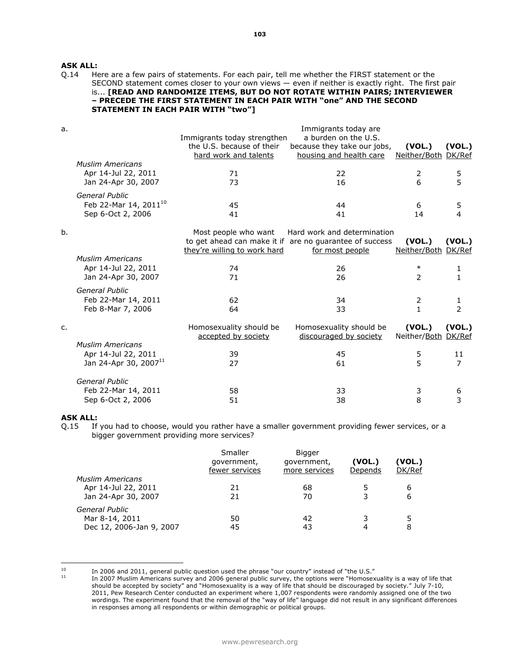# **ASK ALL:**<br>0.14 He

# Here are a few pairs of statements. For each pair, tell me whether the FIRST statement or the SECOND statement comes closer to your own views — even if neither is exactly right. The first pair is... **[READ AND RANDOMIZE ITEMS, BUT DO NOT ROTATE WITHIN PAIRS; INTERVIEWER – PRECEDE THE FIRST STATEMENT IN EACH PAIR WITH "one" AND THE SECOND STATEMENT IN EACH PAIR WITH "two"]**

| a. |                                   | Immigrants today strengthen<br>the U.S. because of their<br>hard work and talents | Immigrants today are<br>a burden on the U.S.<br>because they take our jobs,<br>housing and health care | (VOL.)<br>Neither/Both DK/Ref | (VOL.)                   |
|----|-----------------------------------|-----------------------------------------------------------------------------------|--------------------------------------------------------------------------------------------------------|-------------------------------|--------------------------|
|    | <b>Muslim Americans</b>           |                                                                                   |                                                                                                        |                               |                          |
|    | Apr 14-Jul 22, 2011               | 71                                                                                | 22                                                                                                     | 2                             | 5                        |
|    | Jan 24-Apr 30, 2007               | 73                                                                                | 16                                                                                                     | 6                             | 5                        |
|    | General Public                    |                                                                                   |                                                                                                        |                               |                          |
|    | Feb 22-Mar 14, 2011 <sup>10</sup> | 45                                                                                | 44                                                                                                     | 6                             | 5                        |
|    | Sep 6-Oct 2, 2006                 | 41                                                                                | 41                                                                                                     | 14                            | 4                        |
| b. |                                   | Most people who want                                                              | Hard work and determination                                                                            |                               |                          |
|    |                                   |                                                                                   | to get ahead can make it if are no guarantee of success                                                | (VOL.)                        | (VOL.)                   |
|    |                                   | they're willing to work hard                                                      | for most people                                                                                        | Neither/Both                  | DK/Ref                   |
|    | <b>Muslim Americans</b>           |                                                                                   |                                                                                                        |                               |                          |
|    | Apr 14-Jul 22, 2011               | 74                                                                                | 26                                                                                                     | $\ast$                        | 1                        |
|    | Jan 24-Apr 30, 2007               | 71                                                                                | 26                                                                                                     | $\overline{2}$                | 1                        |
|    | General Public                    |                                                                                   |                                                                                                        |                               |                          |
|    | Feb 22-Mar 14, 2011               | 62                                                                                | 34                                                                                                     | 2                             | 1                        |
|    | Feb 8-Mar 7, 2006                 | 64                                                                                | 33                                                                                                     | $\mathbf{1}$                  | $\overline{\phantom{a}}$ |
| c. |                                   | Homosexuality should be                                                           | Homosexuality should be                                                                                | (VOL.)                        | (VOL.)                   |
|    |                                   | accepted by society                                                               | discouraged by society                                                                                 | Neither/Both DK/Ref           |                          |
|    | <b>Muslim Americans</b>           |                                                                                   |                                                                                                        |                               |                          |
|    | Apr 14-Jul 22, 2011               | 39                                                                                | 45                                                                                                     | 5                             | 11                       |
|    | Jan 24-Apr 30, 2007 <sup>11</sup> | 27                                                                                | 61                                                                                                     | 5                             | $\overline{7}$           |
|    | General Public                    |                                                                                   |                                                                                                        |                               |                          |
|    | Feb 22-Mar 14, 2011               | 58                                                                                | 33                                                                                                     | 3                             | 6                        |
|    | Sep 6-Oct 2, 2006                 | 51                                                                                | 38                                                                                                     | 8                             | 3                        |
|    |                                   |                                                                                   |                                                                                                        |                               |                          |

# **ASK ALL:**

Q.15 If you had to choose, would you rather have a smaller government providing fewer services, or a bigger government providing more services?

|                          | Smaller<br>government,<br>fewer services | <b>Bigger</b><br>government,<br>more services | (VOL.)<br>Depends | (VOL.)<br>DK/Ref |
|--------------------------|------------------------------------------|-----------------------------------------------|-------------------|------------------|
| <b>Muslim Americans</b>  |                                          |                                               |                   |                  |
| Apr 14-Jul 22, 2011      | 21                                       | 68                                            |                   | 6                |
| Jan 24-Apr 30, 2007      | 21                                       | 70                                            |                   | 6                |
| General Public           |                                          |                                               |                   |                  |
| Mar 8-14, 2011           | 50                                       | 42                                            |                   | 5                |
| Dec 12, 2006-Jan 9, 2007 | 45                                       | 43                                            | 4                 | 8                |
|                          |                                          |                                               |                   |                  |

 $10$ 

<sup>&</sup>lt;sup>10</sup> In 2006 and 2011, general public question used the phrase "our country" instead of "the U.S."<br><sup>11</sup> In 2007 Muslim Americans survey and 2006 separal public survey, the options was "Hemasov

 $11$  In 2007 Muslim Americans survey and 2006 general public survey, the options were "Homosexuality is a way of life that should be accepted by society" and "Homosexuality is a way of life that should be discouraged by society." July 7-10, 2011, Pew Research Center conducted an experiment where 1,007 respondents were randomly assigned one of the two wordings. The experiment found that the removal of the "way of life" language did not result in any significant differences in responses among all respondents or within demographic or political groups.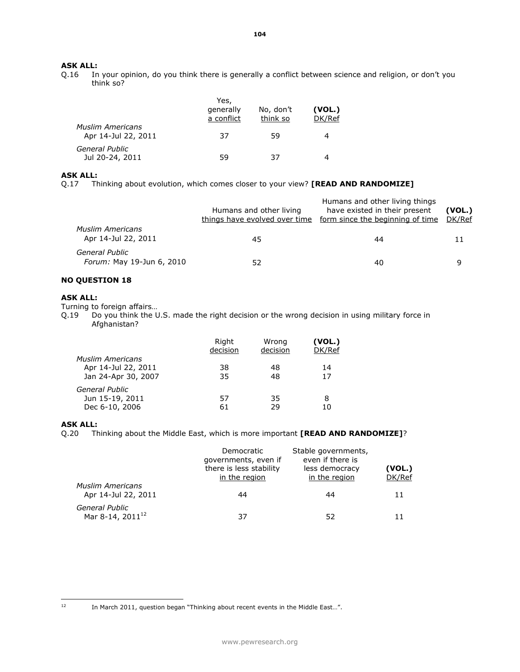# **ASK ALL:**<br>Q.16 In

In your opinion, do you think there is generally a conflict between science and religion, or don't you think so?

|                                                | Yes,                    |                       |                  |
|------------------------------------------------|-------------------------|-----------------------|------------------|
|                                                | generally<br>a conflict | No, don't<br>think so | (VOL.)<br>DK/Ref |
| <b>Muslim Americans</b><br>Apr 14-Jul 22, 2011 | 37                      | 59                    |                  |
| General Public<br>Jul 20-24, 2011              | 59                      | 37                    |                  |

# **ASK ALL:**

Q.17 Thinking about evolution, which comes closer to your view? **[READ AND RANDOMIZE]**

|                                                | Humans and other living<br>things have evolved over time | Humans and other living things<br>have existed in their present<br>form since the beginning of time | (VOL.)<br>DK/Ref |
|------------------------------------------------|----------------------------------------------------------|-----------------------------------------------------------------------------------------------------|------------------|
| <b>Muslim Americans</b><br>Apr 14-Jul 22, 2011 | 45                                                       | 44                                                                                                  |                  |
| General Public<br>Forum: May 19-Jun 6, 2010    | 52                                                       | 40                                                                                                  |                  |

# **NO QUESTION 18**

# **ASK ALL:**

Turning to foreign affairs…

Q.19 Do you think the U.S. made the right decision or the wrong decision in using military force in Afghanistan?

|                         | Right<br>decision | Wrong<br>decision | (VOL.)<br>DK/Ref |
|-------------------------|-------------------|-------------------|------------------|
| <b>Muslim Americans</b> |                   |                   |                  |
| Apr 14-Jul 22, 2011     | 38                | 48                | 14               |
| Jan 24-Apr 30, 2007     | 35                | 48                | 17               |
| General Public          |                   |                   |                  |
| Jun 15-19, 2011         | 57                | 35                | 8                |
| Dec 6-10, 2006          | 61                | 29                | 10               |

**ASK ALL:**<br>Q.20 Th Thinking about the Middle East, which is more important **[READ AND RANDOMIZE]**?

|                                                | Democratic<br>governments, even if<br>there is less stability<br>in the region | Stable governments,<br>even if there is<br>less democracy<br>in the region | (VOL.)<br>DK/Ref |
|------------------------------------------------|--------------------------------------------------------------------------------|----------------------------------------------------------------------------|------------------|
| <b>Muslim Americans</b><br>Apr 14-Jul 22, 2011 | 44                                                                             | 44                                                                         | 11               |
| General Public<br>Mar 8-14, 2011 <sup>12</sup> | 37                                                                             | 52                                                                         | 11               |

In March 2011, question began "Thinking about recent events in the Middle East...".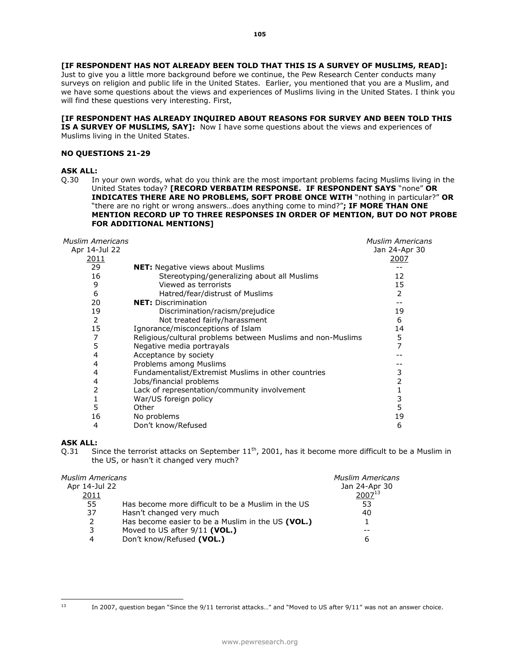**[IF RESPONDENT HAS NOT ALREADY BEEN TOLD THAT THIS IS A SURVEY OF MUSLIMS, READ]:** Just to give you a little more background before we continue, the Pew Research Center conducts many surveys on religion and public life in the United States. Earlier, you mentioned that you are a Muslim, and we have some questions about the views and experiences of Muslims living in the United States. I think you will find these questions very interesting. First,

# **[IF RESPONDENT HAS ALREADY INQUIRED ABOUT REASONS FOR SURVEY AND BEEN TOLD THIS**

**IS A SURVEY OF MUSLIMS, SAY]:** Now I have some questions about the views and experiences of Muslims living in the United States.

# **NO QUESTIONS 21-29**

## **ASK ALL:**

Q.30 In your own words, what do you think are the most important problems facing Muslims living in the United States today? **[RECORD VERBATIM RESPONSE. IF RESPONDENT SAYS** "none" **OR INDICATES THERE ARE NO PROBLEMS, SOFT PROBE ONCE WITH** "nothing in particular?" **OR**  "there are no right or wrong answers…does anything come to mind?"**; IF MORE THAN ONE MENTION RECORD UP TO THREE RESPONSES IN ORDER OF MENTION, BUT DO NOT PROBE FOR ADDITIONAL MENTIONS]** 

| <b>Muslim Americans</b> |                                                             | <b>Muslim Americans</b> |
|-------------------------|-------------------------------------------------------------|-------------------------|
| Apr 14-Jul 22           |                                                             | Jan 24-Apr 30           |
| <u> 2011</u>            |                                                             | 2007                    |
| 29                      | <b>NET:</b> Negative views about Muslims                    |                         |
| 16                      | Stereotyping/generalizing about all Muslims                 | 12                      |
| 9                       | Viewed as terrorists                                        | 15                      |
| 6                       | Hatred/fear/distrust of Muslims                             | 2                       |
| 20                      | <b>NET: Discrimination</b>                                  |                         |
| 19                      | Discrimination/racism/prejudice                             | 19                      |
| 2                       | Not treated fairly/harassment                               | 6                       |
| 15                      | Ignorance/misconceptions of Islam                           | 14                      |
| 7                       | Religious/cultural problems between Muslims and non-Muslims | 5                       |
| 5                       | Negative media portrayals                                   | 7                       |
| 4                       | Acceptance by society                                       |                         |
| 4                       | Problems among Muslims                                      |                         |
| 4                       | Fundamentalist/Extremist Muslims in other countries         | 3                       |
| 4                       | Jobs/financial problems                                     | 2                       |
| 2                       | Lack of representation/community involvement                |                         |
| 1                       | War/US foreign policy                                       | 3                       |
| 5                       | Other                                                       | 5                       |
| 16                      | No problems                                                 | 19                      |
| 4                       | Don't know/Refused                                          | 6                       |

# **ASK ALL:**

Q.31 Since the terrorist attacks on September  $11<sup>th</sup>$ , 2001, has it become more difficult to be a Muslim in the US, or hasn't it changed very much?

| <b>Muslim Americans</b><br>Jan 24-Apr 30 |
|------------------------------------------|
| $2007^{13}$                              |
|                                          |
| 53                                       |
| 40                                       |
|                                          |
|                                          |
| 6                                        |
|                                          |

In 2007, question began "Since the 9/11 terrorist attacks..." and "Moved to US after 9/11" was not an answer choice.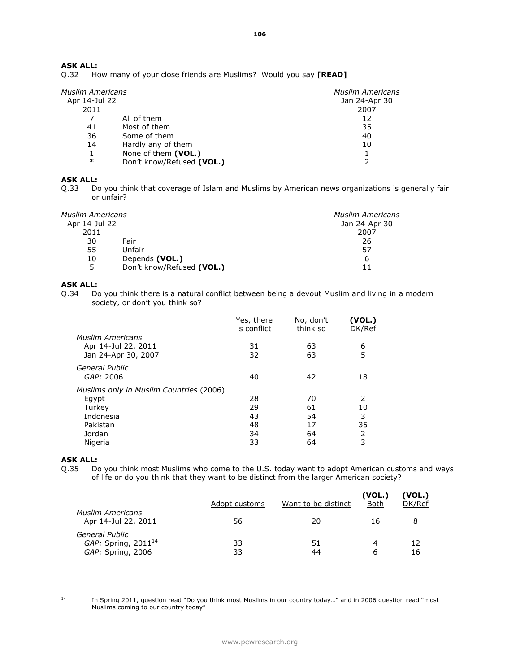Q.32 How many of your close friends are Muslims? Would you say **[READ]** 

| <b>Muslim Americans</b><br>Apr 14-Jul 22 |      |
|------------------------------------------|------|
|                                          | 2007 |
| All of them                              | 12   |
| Most of them                             | 35   |
| Some of them                             | 40   |
| Hardly any of them                       | 10   |
| None of them (VOL.)                      |      |
| Don't know/Refused (VOL.)                | ว    |
|                                          |      |

# **ASK ALL:**

Q.33 Do you think that coverage of Islam and Muslims by American news organizations is generally fair or unfair?

| Muslim Americans |                           | <b>Muslim Americans</b> |
|------------------|---------------------------|-------------------------|
| Apr 14-Jul 22    |                           | Jan 24-Apr 30           |
| 2011             |                           | 2007                    |
| 30               | Fair                      | 26                      |
| 55               | Unfair                    | 57                      |
| 10               | Depends (VOL.)            | 6                       |
| 5                | Don't know/Refused (VOL.) |                         |

# **ASK ALL:**

Q.34 Do you think there is a natural conflict between being a devout Muslim and living in a modern society, or don't you think so?

|                                         | Yes, there<br>is conflict | No, don't<br>think so | (VOL.)<br>DK/Ref |
|-----------------------------------------|---------------------------|-----------------------|------------------|
| Muslim Americans                        |                           |                       |                  |
| Apr 14-Jul 22, 2011                     | 31                        | 63                    | 6                |
| Jan 24-Apr 30, 2007                     | 32                        | 63                    | 5                |
| General Public                          |                           |                       |                  |
| GAP: 2006                               | 40                        | 42                    | 18               |
| Muslims only in Muslim Countries (2006) |                           |                       |                  |
| Eqypt                                   | 28                        | 70                    | $\mathcal{P}$    |
| Turkey                                  | 29                        | 61                    | 10               |
| Indonesia                               | 43                        | 54                    | 3                |
| Pakistan                                | 48                        | 17                    | 35               |
| Jordan                                  | 34                        | 64                    | 2                |
| Nigeria                                 | 33                        | 64                    | 3                |
|                                         |                           |                       |                  |

# **ASK ALL:**

Q.35 Do you think most Muslims who come to the U.S. today want to adopt American customs and ways of life or do you think that they want to be distinct from the larger American society?

|                                                                 | Adopt customs | Want to be distinct | (VOL.)<br>Both | (VOL.)<br>DK/Ref |
|-----------------------------------------------------------------|---------------|---------------------|----------------|------------------|
| Muslim Americans<br>Apr 14-Jul 22, 2011                         | 56            | 20                  | 16             |                  |
| General Public<br>GAP: Spring, $2011^{14}$<br>GAP: Spring, 2006 | 33<br>33      | 51<br>44            | 4<br>6         | 12<br>16         |

 $_{\rm 14}$ 

<sup>14</sup> In Spring 2011, question read "Do you think most Muslims in our country today…" and in 2006 question read "most Muslims coming to our country today"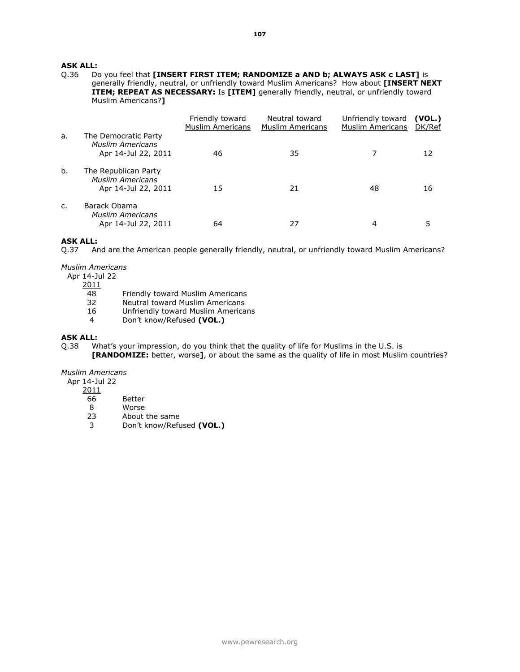# **ASK ALL:**<br>0.36 D

Do you feel that **[INSERT FIRST ITEM; RANDOMIZE a AND b; ALWAYS ASK c LAST]** is generally friendly, neutral, or unfriendly toward Muslim Americans? How about **[INSERT NEXT ITEM; REPEAT AS NECESSARY:** Is **[ITEM]** generally friendly, neutral, or unfriendly toward Muslim Americans?**]** 

|    |                                                                        | Friendly toward<br><b>Muslim Americans</b> | Neutral toward<br><b>Muslim Americans</b> | Unfriendly toward<br><b>Muslim Americans</b> | (VOL.)<br>DK/Ref |
|----|------------------------------------------------------------------------|--------------------------------------------|-------------------------------------------|----------------------------------------------|------------------|
| a. | The Democratic Party<br><b>Muslim Americans</b><br>Apr 14-Jul 22, 2011 | 46                                         | 35                                        | 7                                            | 12               |
| b. | The Republican Party<br><b>Muslim Americans</b><br>Apr 14-Jul 22, 2011 | 15                                         | 21                                        | 48                                           | 16               |
| C. | Barack Obama<br><b>Muslim Americans</b><br>Apr 14-Jul 22, 2011         | 64                                         | 27                                        | 4                                            | 5                |

#### **ASK ALL:**

Q.37 And are the American people generally friendly, neutral, or unfriendly toward Muslim Americans?

*Muslim Americans*

Apr 14-Jul 22

2011

- 48 Friendly toward Muslim Americans
- 32 Neutral toward Muslim Americans
- 16 Unfriendly toward Muslim Americans
- 4 Don't know/Refused **(VOL.)**

#### **ASK ALL:**

Q.38 What's your impression, do you think that the quality of life for Muslims in the U.S. is

**[RANDOMIZE:** better, worse**]**, or about the same as the quality of life in most Muslim countries?

# *Muslim Americans*

Apr 14-Jul 22

2011

- 66 Better
- 8 Worse<br>23 About
- 23 About the same<br>3 Don't know/Refu
- 3 Don't know/Refused **(VOL.)**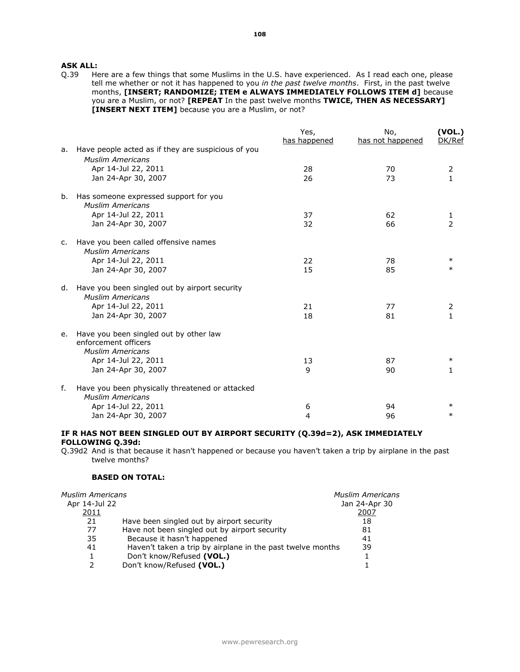**ASK ALL:**<br>Q.39 He Here are a few things that some Muslims in the U.S. have experienced. As I read each one, please tell me whether or not it has happened to you *in the past twelve months*. First, in the past twelve months, **[INSERT; RANDOMIZE; ITEM e ALWAYS IMMEDIATELY FOLLOWS ITEM d]** because you are a Muslim, or not? **[REPEAT** In the past twelve months **TWICE, THEN AS NECESSARY] [INSERT NEXT ITEM]** because you are a Muslim, or not?

|    |                                                                                           | Yes,         | No,              | (VOL.)        |
|----|-------------------------------------------------------------------------------------------|--------------|------------------|---------------|
|    |                                                                                           | has happened | has not happened | DK/Ref        |
| a. | Have people acted as if they are suspicious of you                                        |              |                  |               |
|    | <b>Muslim Americans</b>                                                                   |              |                  |               |
|    | Apr 14-Jul 22, 2011                                                                       | 28           | 70               | 2             |
|    | Jan 24-Apr 30, 2007                                                                       | 26           | 73               | $\mathbf{1}$  |
| b. | Has someone expressed support for you<br><b>Muslim Americans</b>                          |              |                  |               |
|    | Apr 14-Jul 22, 2011                                                                       | 37           | 62               |               |
|    | Jan 24-Apr 30, 2007                                                                       | 32           | 66               | $\frac{1}{2}$ |
| c. | Have you been called offensive names<br><b>Muslim Americans</b>                           |              |                  |               |
|    | Apr 14-Jul 22, 2011                                                                       | 22           | 78               | $\ast$        |
|    | Jan 24-Apr 30, 2007                                                                       | 15           | 85               | $\ast$        |
| d. | Have you been singled out by airport security<br><b>Muslim Americans</b>                  |              |                  |               |
|    | Apr 14-Jul 22, 2011                                                                       | 21           | 77               | 2             |
|    | Jan 24-Apr 30, 2007                                                                       | 18           | 81               | $\mathbf{1}$  |
| e. | Have you been singled out by other law<br>enforcement officers<br><b>Muslim Americans</b> |              |                  |               |
|    | Apr 14-Jul 22, 2011                                                                       | 13           | 87               | $\ast$        |
|    | Jan 24-Apr 30, 2007                                                                       | 9            | 90               | 1             |
| f. | Have you been physically threatened or attacked<br><b>Muslim Americans</b>                |              |                  |               |
|    | Apr 14-Jul 22, 2011                                                                       | 6            | 94               |               |
|    | Jan 24-Apr 30, 2007                                                                       | 4            | 96               | $\ast$        |

# **IF R HAS NOT BEEN SINGLED OUT BY AIRPORT SECURITY (Q.39d=2), ASK IMMEDIATELY FOLLOWING Q.39d:**

Q.39d2 And is that because it hasn't happened or because you haven't taken a trip by airplane in the past twelve months?

# **BASED ON TOTAL:**

| <b>Muslim Americans</b> | <b>Muslim Americans</b>                                    |               |
|-------------------------|------------------------------------------------------------|---------------|
| Apr 14-Jul 22           |                                                            | Jan 24-Apr 30 |
| 2011                    |                                                            | 2007          |
| 21                      | Have been singled out by airport security                  | 18            |
| 77                      | Have not been singled out by airport security              | 81            |
| 35                      | Because it hasn't happened                                 | 41            |
| 41                      | Haven't taken a trip by airplane in the past twelve months | 39            |
| 1                       | Don't know/Refused (VOL.)                                  |               |
| 2                       | Don't know/Refused (VOL.)                                  |               |
|                         |                                                            |               |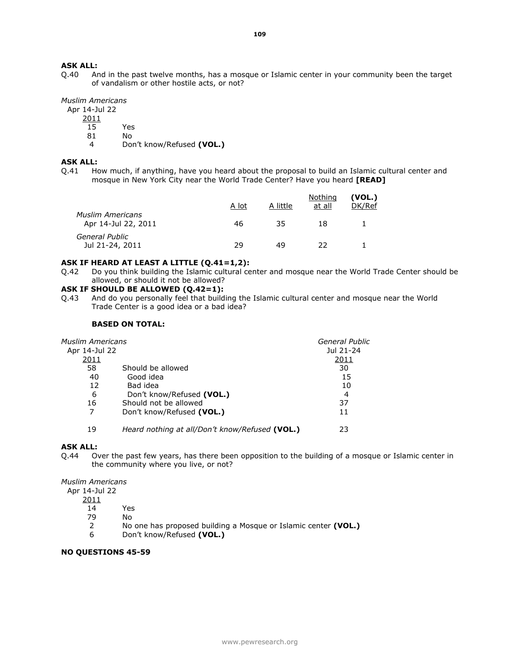Q.40 And in the past twelve months, has a mosque or Islamic center in your community been the target of vandalism or other hostile acts, or not?

*Muslim Americans*

Apr 14-Jul 22

- 2011
	- 15 Yes
	- 81 No
	- 4 Don't know/Refused **(VOL.)**

#### **ASK ALL:**

Q.41 How much, if anything, have you heard about the proposal to build an Islamic cultural center and mosque in New York City near the World Trade Center? Have you heard **[READ]**

|                                                | A lot | A little | Nothing<br>at all | (VOL.)<br>DK/Ref |
|------------------------------------------------|-------|----------|-------------------|------------------|
| <b>Muslim Americans</b><br>Apr 14-Jul 22, 2011 | 46    | 35       | 18                |                  |
| General Public<br>Jul 21-24, 2011              | 29    | 49       | つつ                |                  |

# **ASK IF HEARD AT LEAST A LITTLE (Q.41=1,2):**

Q.42 Do you think building the Islamic cultural center and mosque near the World Trade Center should be allowed, or should it not be allowed?

# **ASK IF SHOULD BE ALLOWED (Q.42=1):**

Q.43 And do you personally feel that building the Islamic cultural center and mosque near the World Trade Center is a good idea or a bad idea?

# **BASED ON TOTAL:**

| Muslim Americans |                                                | General Public |
|------------------|------------------------------------------------|----------------|
| Apr 14-Jul 22    |                                                | Jul 21-24      |
| 2011             |                                                | 2011           |
| 58               | Should be allowed                              | 30             |
| 40               | Good idea                                      | 15             |
| 12               | Bad idea                                       | 10             |
| 6                | Don't know/Refused (VOL.)                      | 4              |
| 16               | Should not be allowed                          | 37             |
| 7                | Don't know/Refused (VOL.)                      | 11             |
| 19               | Heard nothing at all/Don't know/Refused (VOL.) | 23             |

#### **ASK ALL:**

Q.44 Over the past few years, has there been opposition to the building of a mosque or Islamic center in the community where you live, or not?

*Muslim Americans*

- Apr 14-Jul 22
	- 2011
		- 14 Yes
		- 79 No
		- 2 No one has proposed building a Mosque or Islamic center **(VOL.)**
		- 6 Don't know/Refused **(VOL.)**

# **NO QUESTIONS 45-59**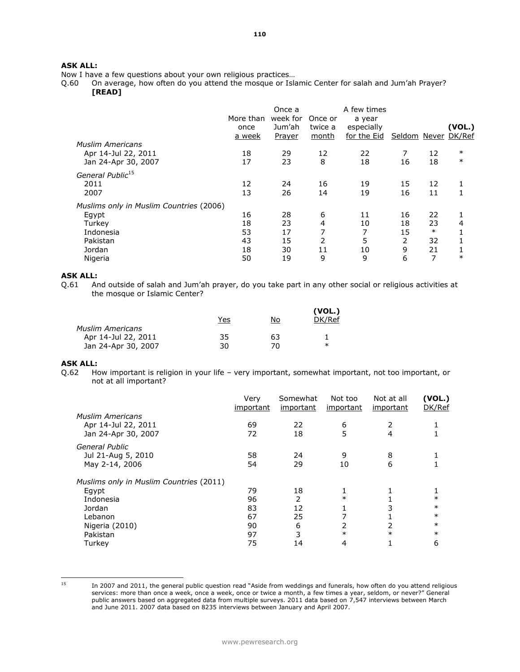Now I have a few questions about your own religious practices...<br>Q.60 On average, how often do you attend the mosque or Isk

Q.60 On average, how often do you attend the mosque or Islamic Center for salah and Jum'ah Prayer? **[READ]** 

| <b>Muslim Americans</b><br>Apr 14-Jul 22, 2011<br>Jan 24-Apr 30, 2007                                    | More than<br>once<br><u>a week</u><br>18<br>17 | Once a<br>week for<br>Jum'ah<br>Prayer<br>29<br>23 | Once or<br>twice a<br>month<br>12<br>8 | A few times<br>a year<br>especially<br>for the Eid<br>22<br>18 | Seldom Never DK/Ref<br>7<br>16 | 12<br>18                            | (VOL.)<br>$\ast$<br>$\ast$ |
|----------------------------------------------------------------------------------------------------------|------------------------------------------------|----------------------------------------------------|----------------------------------------|----------------------------------------------------------------|--------------------------------|-------------------------------------|----------------------------|
| General Public <sup>15</sup><br>2011<br>2007                                                             | 12<br>13                                       | 24<br>26                                           | 16<br>14                               | 19<br>19                                                       | 15<br>16                       | 12<br>11                            |                            |
| Muslims only in Muslim Countries (2006)<br>Egypt<br>Turkey<br>Indonesia<br>Pakistan<br>Jordan<br>Nigeria | 16<br>18<br>53<br>43<br>18<br>50               | 28<br>23<br>17<br>15<br>30<br>19                   | 6<br>4<br>7<br>2<br>11<br>9            | 11<br>10<br>7<br>5<br>10<br>9                                  | 16<br>18<br>15<br>2<br>9<br>6  | 22<br>23<br>$\ast$<br>32<br>21<br>7 | 4<br>$\ast$                |

# **ASK ALL:**<br>Q.61 Ar

And outside of salah and Jum'ah prayer, do you take part in any other social or religious activities at the mosque or Islamic Center?

|                         | Yes | No  | (VOL.)<br>DK/Ref |
|-------------------------|-----|-----|------------------|
| <b>Muslim Americans</b> |     |     |                  |
| Apr 14-Jul 22, 2011     | 35  | 63  |                  |
| Jan 24-Apr 30, 2007     | 30  | 70. | $\ast$           |

# **ASK ALL:**

Q.62 How important is religion in your life – very important, somewhat important, not too important, or not at all important?

|                                         | Very<br>important | Somewhat<br>important | Not too<br><i>important</i> | Not at all<br>important | (VOL.)<br>DK/Ref |
|-----------------------------------------|-------------------|-----------------------|-----------------------------|-------------------------|------------------|
| <b>Muslim Americans</b>                 |                   |                       |                             |                         |                  |
| Apr 14-Jul 22, 2011                     | 69                | 22                    | 6                           | 2                       |                  |
| Jan 24-Apr 30, 2007                     | 72                | 18                    | 5                           | 4                       |                  |
| General Public                          |                   |                       |                             |                         |                  |
| Jul 21-Aug 5, 2010                      | 58                | 24                    | 9                           | 8                       |                  |
| May 2-14, 2006                          | 54                | 29                    | 10                          | 6                       |                  |
| Muslims only in Muslim Countries (2011) |                   |                       |                             |                         |                  |
| Egypt                                   | 79                | 18                    |                             |                         |                  |
| Indonesia                               | 96                | 2                     | $\ast$                      |                         | $\ast$           |
| Jordan                                  | 83                | 12                    |                             | 3                       | $\ast$           |
| Lebanon                                 | 67                | 25                    |                             |                         | $\ast$           |
| Nigeria (2010)                          | 90                | 6                     |                             |                         | $\ast$           |
| Pakistan                                | 97                | 3                     | $\ast$                      | $\ast$                  | $\ast$           |
| Turkey                                  | 75                | 14                    | 4                           |                         | 6                |

 $15$ 

In 2007 and 2011, the general public question read "Aside from weddings and funerals, how often do you attend religious services: more than once a week, once a week, once or twice a month, a few times a year, seldom, or never?" General public answers based on aggregated data from multiple surveys. 2011 data based on 7,547 interviews between March and June 2011. 2007 data based on 8235 interviews between January and April 2007.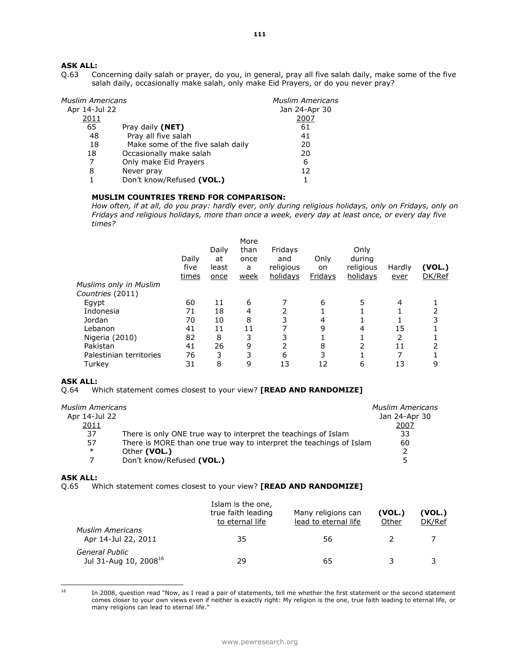# **ASK ALL:**<br>Q.63 Co

Concerning daily salah or prayer, do you, in general, pray all five salah daily, make some of the five salah daily, occasionally make salah, only make Eid Prayers, or do you never pray?

| Muslim Americans |                                   | <b>Muslim Americans</b> |
|------------------|-----------------------------------|-------------------------|
| Apr 14-Jul 22    |                                   | Jan 24-Apr 30           |
| 2011             |                                   | 2007                    |
| 65               | Pray daily (NET)                  | 61                      |
| 48               | Pray all five salah               | 41                      |
| 18               | Make some of the five salah daily | 20                      |
| 18               | Occasionally make salah           | 20                      |
|                  | Only make Eid Prayers             | 6                       |
| 8                | Never pray                        | 12                      |
|                  | Don't know/Refused (VOL.)         |                         |

# **MUSLIM COUNTRIES TREND FOR COMPARISON:**

*How often, if at all, do you pray: hardly ever, only during religious holidays, only on Fridays, only on Fridays and religious holidays, more than once a week, every day at least once, or every day five times?*

| Daily<br>five<br>times | Daily<br>at<br>least<br>once | More<br>than<br>once<br>a<br>week | Fridays<br>and<br>religious<br>holidays | Only<br>on.<br><b>Fridays</b> | Only<br>during<br>religious<br>holidays | Hardly<br>ever | (VOL.)<br>DK/Ref |
|------------------------|------------------------------|-----------------------------------|-----------------------------------------|-------------------------------|-----------------------------------------|----------------|------------------|
|                        |                              |                                   |                                         |                               |                                         |                |                  |
|                        |                              |                                   |                                         |                               |                                         |                |                  |
| 60                     | 11                           | 6                                 |                                         | 6                             | 5                                       | 4              |                  |
| 71                     | 18                           | 4                                 |                                         |                               |                                         |                | 2                |
| 70                     | 10                           | 8                                 | 3                                       | 4                             |                                         |                | 3                |
| 41                     | 11                           | 11                                |                                         | 9                             | 4                                       | 15             |                  |
| 82                     | 8                            | 3                                 | 3                                       |                               |                                         |                |                  |
| 41                     | 26                           | 9                                 | 2                                       | 8                             |                                         | 11             |                  |
| 76                     | 3                            | 3                                 | 6                                       | 3                             |                                         |                |                  |
| 31                     | 8                            | 9                                 | 13                                      | 12                            | 6                                       | 13             | 9                |
|                        |                              |                                   |                                         |                               |                                         |                |                  |

# **ASK ALL:**

Q.64 Which statement comes closest to your view? **[READ AND RANDOMIZE]** 

| <b>Muslim Americans</b>                                                   |
|---------------------------------------------------------------------------|
| Jan 24-Apr 30                                                             |
| 2007                                                                      |
| 33                                                                        |
| There is MORE than one true way to interpret the teachings of Islam<br>60 |
|                                                                           |
| 5                                                                         |
|                                                                           |

# **ASK ALL:**

Q.65 Which statement comes closest to your view? **[READ AND RANDOMIZE]** 

|                                                     | Islam is the one,<br>true faith leading<br>to eternal life | Many religions can<br>lead to eternal life | (VOL.)<br>Other | (VOL.)<br>DK/Ref |
|-----------------------------------------------------|------------------------------------------------------------|--------------------------------------------|-----------------|------------------|
| <b>Muslim Americans</b><br>Apr 14-Jul 22, 2011      | 35                                                         | 56                                         |                 |                  |
| General Public<br>Jul 31-Aug 10, 2008 <sup>16</sup> | 29                                                         | 65                                         |                 |                  |

 $16$ 

<sup>16</sup> In 2008, question read "Now, as I read a pair of statements, tell me whether the first statement or the second statement comes closer to your own views even if neither is exactly right: My religion is the one, true faith leading to eternal life, or many religions can lead to eternal life."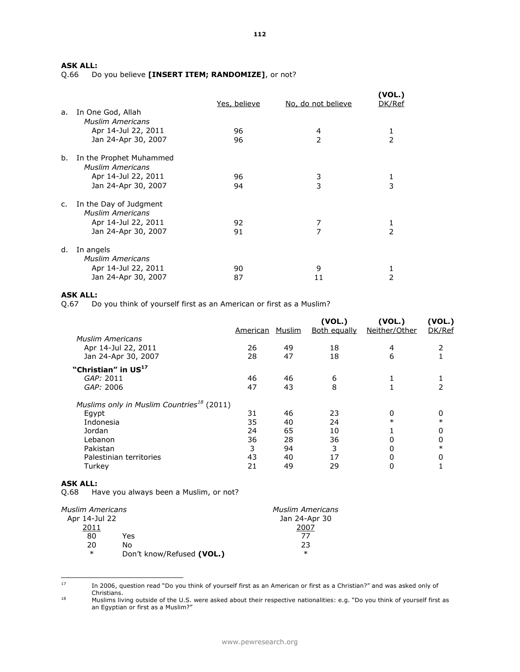Q.66 Do you believe **[INSERT ITEM; RANDOMIZE]**, or not?

|    |                                                    | Yes, believe | No, do not believe | (VOL.)<br>DK/Ref |
|----|----------------------------------------------------|--------------|--------------------|------------------|
| a. | In One God, Allah<br><b>Muslim Americans</b>       |              |                    |                  |
|    | Apr 14-Jul 22, 2011                                | 96           | 4                  | 1                |
|    | Jan 24-Apr 30, 2007                                | 96           | 2                  | $\mathcal{P}$    |
| b. | In the Prophet Muhammed<br><b>Muslim Americans</b> |              |                    |                  |
|    | Apr 14-Jul 22, 2011                                | 96           | 3                  | 1                |
|    | Jan 24-Apr 30, 2007                                | 94           | 3                  | 3                |
| c. | In the Day of Judgment<br><b>Muslim Americans</b>  |              |                    |                  |
|    | Apr 14-Jul 22, 2011                                | 92           | 7                  | 1                |
|    | Jan 24-Apr 30, 2007                                | 91           | 7                  | $\mathcal{P}$    |
| d. | In angels<br><b>Muslim Americans</b>               |              |                    |                  |
|    | Apr 14-Jul 22, 2011                                | 90           | 9                  | 1                |
|    | Jan 24-Apr 30, 2007                                | 87           | 11                 | 2                |
|    |                                                    |              |                    |                  |

# **ASK ALL:**

Q.67 Do you think of yourself first as an American or first as a Muslim?

|                                                       | American | Muslim | (VOL.)<br><b>Both equally</b> | (VOL.)<br>Neither/Other | (VOL.)<br>DK/Ref |
|-------------------------------------------------------|----------|--------|-------------------------------|-------------------------|------------------|
| <b>Muslim Americans</b>                               |          |        |                               |                         |                  |
| Apr 14-Jul 22, 2011                                   | 26       | 49     | 18                            | 4                       | 2                |
| Jan 24-Apr 30, 2007                                   | 28       | 47     | 18                            | 6                       |                  |
| "Christian" in US <sup>17</sup>                       |          |        |                               |                         |                  |
| GAP: 2011                                             | 46       | 46     | 6                             |                         |                  |
| GAP: 2006                                             | 47       | 43     | 8                             |                         | 2                |
| Muslims only in Muslim Countries <sup>18</sup> (2011) |          |        |                               |                         |                  |
| Egypt                                                 | 31       | 46     | 23                            | 0                       | 0                |
| Indonesia                                             | 35       | 40     | 24                            | $\ast$                  | $\ast$           |
| Jordan                                                | 24       | 65     | 10                            |                         | 0                |
| Lebanon                                               | 36       | 28     | 36                            | 0                       | 0                |
| Pakistan                                              | 3        | 94     | 3                             | 0                       | $\ast$           |
| Palestinian territories                               | 43       | 40     | 17                            | 0                       | 0                |
| Turkey                                                | 21       | 49     | 29                            | 0                       |                  |
|                                                       |          |        |                               |                         |                  |

### **ASK ALL:**

Q.68 Have you always been a Muslim, or not?

| Muslim Americans |                           | <b>Muslim Americans</b> |
|------------------|---------------------------|-------------------------|
| Apr 14-Jul 22    |                           | Jan 24-Apr 30           |
| 2011             |                           | 2007                    |
| 80               | Yes                       | 77                      |
| 20               | N٥                        | 23                      |
| $\ast$           | Don't know/Refused (VOL.) | $\ast$                  |

 $17\,$ <sup>17</sup> In 2006, question read "Do you think of yourself first as an American or first as a Christian?" and was asked only of Christians.

<sup>18</sup> Muslims living outside of the U.S. were asked about their respective nationalities: e.g. "Do you think of yourself first as an Egyptian or first as a Muslim?"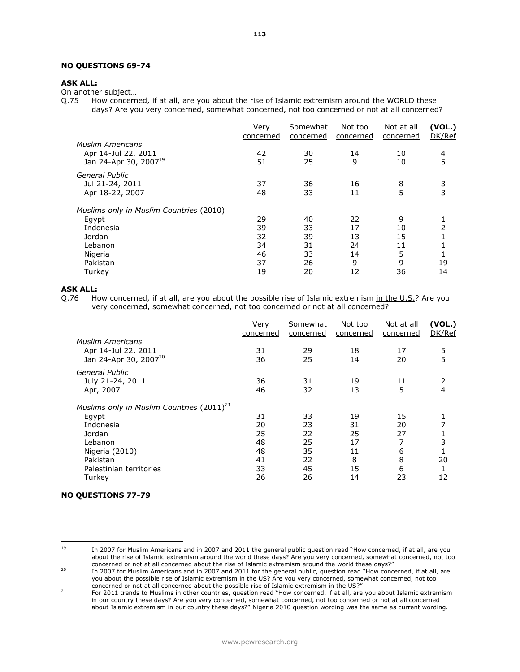# **NO QUESTIONS 69-74**

# **ASK ALL:**

On another subject…

Q.75 How concerned, if at all, are you about the rise of Islamic extremism around the WORLD these days? Are you very concerned, somewhat concerned, not too concerned or not at all concerned?

|                                                                                                                     | Very<br>concerned                      | Somewhat<br>concerned                  | Not too<br>concerned                  | Not at all<br>concerned             | (VOL.)<br>DK/Ref           |
|---------------------------------------------------------------------------------------------------------------------|----------------------------------------|----------------------------------------|---------------------------------------|-------------------------------------|----------------------------|
| <b>Muslim Americans</b><br>Apr 14-Jul 22, 2011<br>Jan 24-Apr 30, 2007 <sup>19</sup>                                 | 42<br>51                               | 30<br>25                               | 14<br>9                               | 10<br>10                            | 4<br>5                     |
| General Public<br>Jul 21-24, 2011<br>Apr 18-22, 2007                                                                | 37<br>48                               | 36<br>33                               | 16<br>11                              | 8<br>5                              | 3<br>3                     |
| Muslims only in Muslim Countries (2010)<br>Egypt<br>Indonesia<br>Jordan<br>Lebanon<br>Nigeria<br>Pakistan<br>Turkey | 29<br>39<br>32<br>34<br>46<br>37<br>19 | 40<br>33<br>39<br>31<br>33<br>26<br>20 | 22<br>17<br>13<br>24<br>14<br>9<br>12 | 9<br>10<br>15<br>11<br>5<br>9<br>36 | $\overline{2}$<br>19<br>14 |

# **ASK ALL:**

Q.76 How concerned, if at all, are you about the possible rise of Islamic extremism in the U.S.? Are you very concerned, somewhat concerned, not too concerned or not at all concerned?

|                                                | Very<br>concerned | Somewhat<br>concerned | Not too<br>concerned | Not at all<br>concerned | (VOL.)<br>DK/Ref |
|------------------------------------------------|-------------------|-----------------------|----------------------|-------------------------|------------------|
| <b>Muslim Americans</b>                        |                   |                       |                      |                         |                  |
| Apr 14-Jul 22, 2011                            | 31                | 29                    | 18                   | 17                      | 5                |
| Jan 24-Apr 30, 2007 <sup>20</sup>              | 36                | 25                    | 14                   | 20                      | 5                |
| General Public                                 |                   |                       |                      |                         |                  |
| July 21-24, 2011                               | 36                | 31                    | 19                   | 11                      | 2                |
| Apr, 2007                                      | 46                | 32                    | 13                   | 5                       | $\overline{4}$   |
| Muslims only in Muslim Countries $(2011)^{21}$ |                   |                       |                      |                         |                  |
| Egypt                                          | 31                | 33                    | 19                   | 15                      |                  |
| Indonesia                                      | 20                | 23                    | 31                   | 20                      |                  |
| Jordan                                         | 25                | 22                    | 25                   | 27                      |                  |
| Lebanon                                        | 48                | 25                    | 17                   | 7                       | 3                |
| Nigeria (2010)                                 | 48                | 35                    | 11                   | 6                       |                  |
| Pakistan                                       | 41                | 22                    | 8                    | 8                       | 20               |
| Palestinian territories                        | 33                | 45                    | 15                   | 6                       |                  |
| Turkey                                         | 26                | 26                    | 14                   | 23                      | 12               |
|                                                |                   |                       |                      |                         |                  |

# **NO QUESTIONS 77-79**

 $19$ 

<sup>19</sup> In 2007 for Muslim Americans and in 2007 and 2011 the general public question read "How concerned, if at all, are you about the rise of Islamic extremism around the world these days? Are you very concerned, somewhat concerned, not too concerned or not at all concerned about the rise of Islamic extremism around the world these days?"

<sup>20</sup> In 2007 for Muslim Americans and in 2007 and 2011 for the general public, question read "How concerned, if at all, are you about the possible rise of Islamic extremism in the US? Are you very concerned, somewhat concerned, not too concerned or not at all concerned about the possible rise of Islamic extremism in the US?"

<sup>&</sup>lt;sup>21</sup> For 2011 trends to Muslims in other countries, question read "How concerned, if at all, are you about Islamic extremism in our country these days? Are you very concerned, somewhat concerned, not too concerned or not at all concerned about Islamic extremism in our country these days?" Nigeria 2010 question wording was the same as current wording.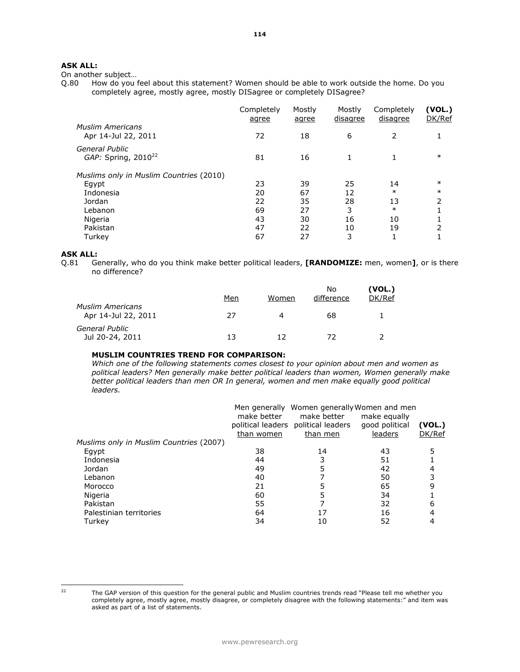On another subject...<br>Q.80 How do you How do you feel about this statement? Women should be able to work outside the home. Do you completely agree, mostly agree, mostly DISagree or completely DISagree?

|                                                | Completely<br>agree | Mostly<br>agree | Mostly<br>disagree | Completely<br>disagree | (VOL.)<br>DK/Ref |
|------------------------------------------------|---------------------|-----------------|--------------------|------------------------|------------------|
| <b>Muslim Americans</b><br>Apr 14-Jul 22, 2011 | 72                  | 18              | 6                  | 2                      |                  |
| General Public<br>GAP: Spring, $2010^{22}$     | 81                  | 16              | 1                  |                        | $\ast$           |
| Muslims only in Muslim Countries (2010)        |                     |                 |                    |                        |                  |
| Egypt                                          | 23                  | 39              | 25                 | 14                     | $\ast$           |
| Indonesia                                      | 20                  | 67              | 12                 | $\ast$                 | $\ast$           |
| Jordan                                         | 22                  | 35              | 28                 | 13                     | 2                |
| Lebanon                                        | 69                  | 27              | 3                  | $\ast$                 |                  |
| Nigeria                                        | 43                  | 30              | 16                 | 10                     |                  |
| Pakistan                                       | 47                  | 22              | 10                 | 19                     | 2                |
| Turkey                                         | 67                  | 27              | 3                  |                        |                  |

# **ASK ALL:**

Q.81 Generally, who do you think make better political leaders, **[RANDOMIZE:** men, women**]**, or is there no difference?

|                                                | Men | Women | No.<br>difference | (VOL.)<br>DK/Ref |
|------------------------------------------------|-----|-------|-------------------|------------------|
| <b>Muslim Americans</b><br>Apr 14-Jul 22, 2011 | 27  | 4     | 68                |                  |
| General Public<br>Jul 20-24, 2011              | 13  | 12    | 72                |                  |

# **MUSLIM COUNTRIES TREND FOR COMPARISON:**

*Which one of the following statements comes closest to your opinion about men and women as political leaders? Men generally make better political leaders than women, Women generally make*  better political leaders than men OR In general, women and men make equally good political *leaders.*

|                                         | make better<br>than women | Men generally Women generally Women and men<br>make better<br>political leaders political leaders<br>than men | make equally<br>good political<br>leaders | (VOL.)<br>DK/Ref |
|-----------------------------------------|---------------------------|---------------------------------------------------------------------------------------------------------------|-------------------------------------------|------------------|
| Muslims only in Muslim Countries (2007) |                           |                                                                                                               |                                           |                  |
| Egypt                                   | 38                        | 14                                                                                                            | 43                                        |                  |
| Indonesia                               | 44                        |                                                                                                               | 51                                        |                  |
| Jordan                                  | 49                        |                                                                                                               | 42                                        |                  |
| Lebanon                                 | 40                        |                                                                                                               | 50                                        |                  |
| Morocco                                 | 21                        |                                                                                                               | 65                                        | 9                |
| Nigeria                                 | 60                        |                                                                                                               | 34                                        |                  |
| Pakistan                                | 55                        |                                                                                                               | 32                                        | 6                |
| Palestinian territories                 | 64                        |                                                                                                               | 16                                        | 4                |
| Turkey                                  | 34                        | 10                                                                                                            | 52                                        |                  |

 $22$ 

The GAP version of this question for the general public and Muslim countries trends read "Please tell me whether you completely agree, mostly agree, mostly disagree, or completely disagree with the following statements:" and item was asked as part of a list of statements.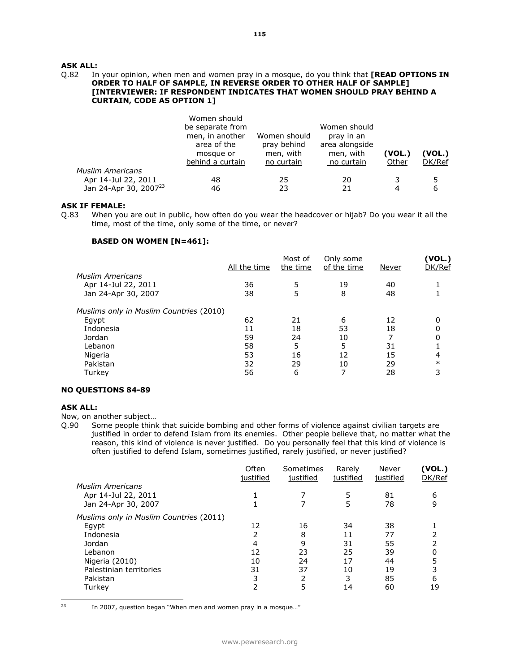### Q.82 In your opinion, when men and women pray in a mosque, do you think that **[READ OPTIONS IN ORDER TO HALF OF SAMPLE, IN REVERSE ORDER TO OTHER HALF OF SAMPLE] [INTERVIEWER: IF RESPONDENT INDICATES THAT WOMEN SHOULD PRAY BEHIND A CURTAIN, CODE AS OPTION 1]**

|                                   | Women should<br>be separate from<br>men, in another<br>area of the<br>mosque or<br>behind a curtain | Women should<br>pray behind<br>men, with<br>no curtain | Women should<br>pray in an<br>area alongside<br>men, with<br>no curtain | (VOL.)<br>Other | (VOL.)<br>DK/Ref |
|-----------------------------------|-----------------------------------------------------------------------------------------------------|--------------------------------------------------------|-------------------------------------------------------------------------|-----------------|------------------|
| <b>Muslim Americans</b>           |                                                                                                     |                                                        |                                                                         |                 |                  |
| Apr 14-Jul 22, 2011               | 48                                                                                                  | 25                                                     | 20                                                                      |                 | 5                |
| Jan 24-Apr 30, 2007 <sup>23</sup> | 46                                                                                                  | 23                                                     | 21                                                                      |                 | 6                |

### **ASK IF FEMALE:**

Q.83 When you are out in public, how often do you wear the headcover or hijab? Do you wear it all the time, most of the time, only some of the time, or never?

# **BASED ON WOMEN [N=461]:**

|                                         | All the time | Most of<br>the time | Only some<br>of the time | Never | (VOL.)<br>DK/Ref |
|-----------------------------------------|--------------|---------------------|--------------------------|-------|------------------|
| <b>Muslim Americans</b>                 |              |                     |                          |       |                  |
| Apr 14-Jul 22, 2011                     | 36           | 5                   | 19                       | 40    |                  |
| Jan 24-Apr 30, 2007                     | 38           | 5                   | 8                        | 48    |                  |
| Muslims only in Muslim Countries (2010) |              |                     |                          |       |                  |
| Egypt                                   | 62           | 21                  | 6                        | 12    | 0                |
| Indonesia                               | 11           | 18                  | 53                       | 18    | 0                |
| Jordan                                  | 59           | 24                  | 10                       |       | 0                |
| Lebanon                                 | 58           | 5                   | 5                        | 31    |                  |
| Nigeria                                 | 53           | 16                  | 12                       | 15    | 4                |
| Pakistan                                | 32           | 29                  | 10                       | 29    | $\ast$           |
| Turkey                                  | 56           | 6                   |                          | 28    | 3                |

#### **NO QUESTIONS 84-89**

#### **ASK ALL:**

Now, on another subject…

Q.90 Some people think that suicide bombing and other forms of violence against civilian targets are justified in order to defend Islam from its enemies. Other people believe that, no matter what the reason, this kind of violence is never justified. Do you personally feel that this kind of violence is often justified to defend Islam, sometimes justified, rarely justified, or never justified?

| Often<br>justified | Sometimes | Rarely    | Never     | (VOL.)<br>DK/Ref |
|--------------------|-----------|-----------|-----------|------------------|
|                    |           |           |           |                  |
|                    |           | 5         | 81        | 6                |
|                    |           | 5         | 78        | 9                |
|                    |           |           |           |                  |
| 12                 | 16        | 34        | 38        |                  |
| 2                  | 8         | 11        | 77        |                  |
| 4                  | 9         | 31        | 55        |                  |
| 12                 | 23        | 25        | 39        | 0                |
| 10                 | 24        | 17        | 44        | 5                |
| 31                 | 37        | 10        | 19        | 3                |
| 3                  | 2         | 3         | 85        | 6                |
| 2                  | 5         | 14        | 60        | 19               |
|                    |           | justified | justified | justified        |

 $23$ 

In 2007, question began "When men and women pray in a mosque..."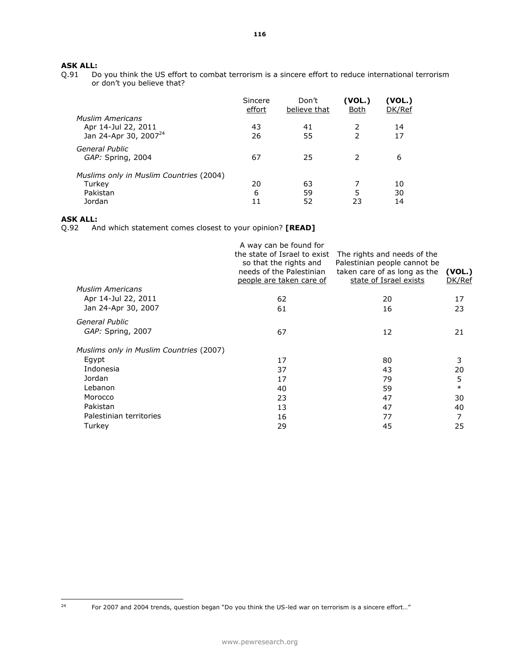# **ASK ALL:**<br>Q.91 Do

Do you think the US effort to combat terrorism is a sincere effort to reduce international terrorism or don't you believe that?

|                                         | Sincere<br>effort | Don't<br>believe that | (VOL.)<br><u>Both</u> | (VOL.)<br>DK/Ref |
|-----------------------------------------|-------------------|-----------------------|-----------------------|------------------|
| <b>Muslim Americans</b>                 |                   |                       |                       |                  |
| Apr 14-Jul 22, 2011                     | 43                | 41                    |                       | 14               |
| Jan 24-Apr 30, 2007 <sup>24</sup>       | 26                | 55                    |                       | 17               |
| General Public<br>GAP: Spring, 2004     | 67                | 25                    | 2                     | 6                |
| Muslims only in Muslim Countries (2004) |                   |                       |                       |                  |
| Turkey                                  | 20                | 63                    |                       | 10               |
| Pakistan                                | 6                 | 59                    | 5                     | 30               |
| Jordan                                  | 11                | 52                    | 23                    | 14               |

# **ASK ALL:**

Q.92 And which statement comes closest to your opinion? **[READ]** 

| <b>Muslim Americans</b><br>Apr 14-Jul 22, 2011<br>Jan 24-Apr 30, 2007 | A way can be found for<br>the state of Israel to exist<br>so that the rights and<br>needs of the Palestinian<br>people are taken care of<br>62<br>61 | The rights and needs of the<br>Palestinian people cannot be<br>taken care of as long as the<br>state of Israel exists<br>20<br>16 | (VOL.)<br>DK/Ref<br>17<br>23 |
|-----------------------------------------------------------------------|------------------------------------------------------------------------------------------------------------------------------------------------------|-----------------------------------------------------------------------------------------------------------------------------------|------------------------------|
|                                                                       |                                                                                                                                                      |                                                                                                                                   |                              |
| General Public<br>GAP: Spring, 2007                                   | 67                                                                                                                                                   | 12                                                                                                                                | 21                           |
| Muslims only in Muslim Countries (2007)                               |                                                                                                                                                      |                                                                                                                                   |                              |
| Egypt<br>Indonesia                                                    | 17<br>37                                                                                                                                             | 80<br>43                                                                                                                          | 3<br>20                      |
| Jordan                                                                | 17                                                                                                                                                   | 79                                                                                                                                | 5                            |
| Lebanon                                                               | 40                                                                                                                                                   | 59                                                                                                                                | $\ast$                       |
| Morocco                                                               | 23                                                                                                                                                   | 47                                                                                                                                | 30                           |
| Pakistan                                                              | 13                                                                                                                                                   | 47                                                                                                                                | 40                           |
| Palestinian territories                                               | 16                                                                                                                                                   | 77                                                                                                                                | 7                            |
| Turkey                                                                | 29                                                                                                                                                   | 45                                                                                                                                | 25                           |
|                                                                       |                                                                                                                                                      |                                                                                                                                   |                              |

 $24$ 

For 2007 and 2004 trends, question began "Do you think the US-led war on terrorism is a sincere effort..."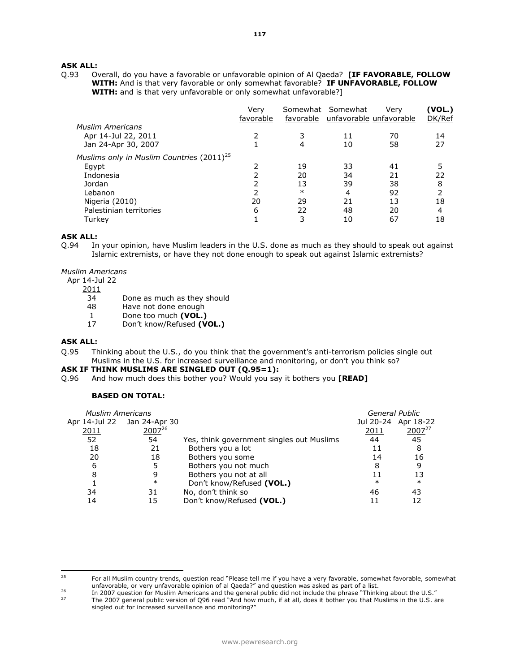Q.93 Overall, do you have a favorable or unfavorable opinion of Al Qaeda? **[IF FAVORABLE, FOLLOW WITH:** And is that very favorable or only somewhat favorable? **IF UNFAVORABLE, FOLLOW WITH:** and is that very unfavorable or only somewhat unfavorable?]

|                                                       | Verv<br>favorable |        | Somewhat Somewhat<br>favorable unfavorable unfavorable | Verv | (VOL.)<br>DK/Ref |
|-------------------------------------------------------|-------------------|--------|--------------------------------------------------------|------|------------------|
| <b>Muslim Americans</b>                               |                   |        |                                                        |      |                  |
| Apr 14-Jul 22, 2011                                   |                   |        | 11                                                     | 70   | 14               |
| Jan 24-Apr 30, 2007                                   |                   | 4      | 10                                                     | 58   | 27               |
| Muslims only in Muslim Countries (2011) <sup>25</sup> |                   |        |                                                        |      |                  |
| Egypt                                                 |                   | 19     | 33                                                     | 41   | 5                |
| Indonesia                                             |                   | 20     | 34                                                     | 21   | 22               |
| Jordan                                                |                   | 13     | 39                                                     | 38   | 8                |
| Lebanon                                               |                   | $\ast$ | 4                                                      | 92   | 2                |
| Nigeria (2010)                                        | 20                | 29     | 21                                                     | 13   | 18               |
| Palestinian territories                               | 6                 | 22     | 48                                                     | 20   | 4                |
| Turkev                                                |                   | 3      | 10                                                     | 67   | 18               |

#### **ASK ALL:**

Q.94 In your opinion, have Muslim leaders in the U.S. done as much as they should to speak out against Islamic extremists, or have they not done enough to speak out against Islamic extremists?

*Muslim Americans*

- Apr 14-Jul 22
	- 2011
		- 34 Done as much as they should
		- 48 Have not done enough
		- 1 Done too much **(VOL.)**
		- 17 Don't know/Refused **(VOL.)**

# **ASK ALL:**

Q.95 Thinking about the U.S., do you think that the government's anti-terrorism policies single out Muslims in the U.S. for increased surveillance and monitoring, or don't you think so?

### **ASK IF THINK MUSLIMS ARE SINGLED OUT (Q.95=1):**

Q.96 And how much does this bother you? Would you say it bothers you **[READ]**

# **BASED ON TOTAL:**

| <b>Muslim Americans</b> |                             |                                           | General Public |                     |
|-------------------------|-----------------------------|-------------------------------------------|----------------|---------------------|
|                         | Apr 14-Jul 22 Jan 24-Apr 30 |                                           |                | Jul 20-24 Apr 18-22 |
| 2011                    | 200726                      |                                           | 2011           | $2007^{27}$         |
| 52                      | 54                          | Yes, think government singles out Muslims | 44             | 45                  |
| 18                      | 21                          | Bothers you a lot                         |                | 8                   |
| 20                      | 18                          | Bothers you some                          | 14             | 16                  |
| 6                       | 5                           | Bothers you not much                      | 8              |                     |
| 8                       | 9                           | Bothers you not at all                    |                | 13                  |
|                         | $\ast$                      | Don't know/Refused (VOL.)                 | $\ast$         | $\ast$              |
| 34                      | 31                          | No, don't think so                        | 46             | 43                  |
| 14                      | 15                          | Don't know/Refused (VOL.)                 | 11             |                     |

<sup>25</sup> <sup>25</sup> For all Muslim country trends, question read "Please tell me if you have a very favorable, somewhat favorable, somewhat unfavorable, or very unfavorable opinion of al Qaeda?" and question was asked as part of a list.

<sup>26</sup> In 2007 question for Muslim Americans and the general public did not include the phrase "Thinking about the U.S."<br>The 2007 general public version of OOS road "And bow much if at all does it bether you that Muslims in th

<sup>27</sup> The 2007 general public version of Q96 read "And how much, if at all, does it bother you that Muslims in the U.S. are singled out for increased surveillance and monitoring?"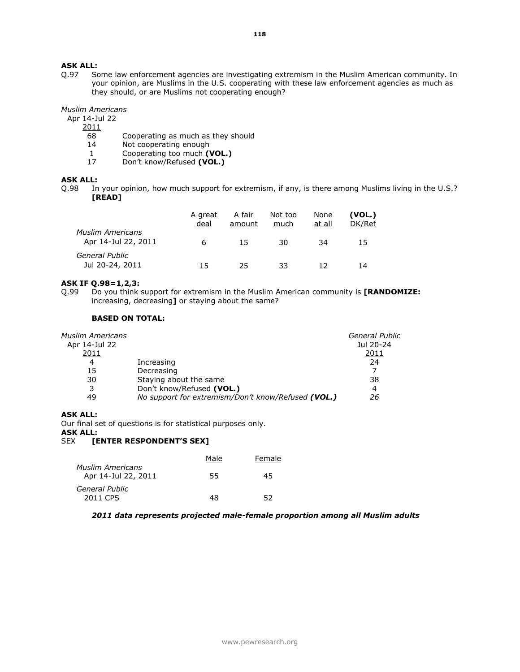# **ASK ALL:**<br>0.97 So

Some law enforcement agencies are investigating extremism in the Muslim American community. In your opinion, are Muslims in the U.S. cooperating with these law enforcement agencies as much as they should, or are Muslims not cooperating enough?

#### *Muslim Americans*

Apr 14-Jul 22

2011

- 68 Cooperating as much as they should
- 14 Not cooperating enough<br>1 Cooperating too much (1)
- 1 Cooperating too much **(VOL.)**<br>17 Don't know/Refused **(VOL.)**
- 17 Don't know/Refused **(VOL.)**

# **ASK ALL:**

Q.98 In your opinion, how much support for extremism, if any, is there among Muslims living in the U.S.? **[READ]**

|                                         | A great<br>deal | A fair<br>amount | Not too<br>much | None<br>at all | (VOL.)<br>DK/Ref |
|-----------------------------------------|-----------------|------------------|-----------------|----------------|------------------|
| Muslim Americans<br>Apr 14-Jul 22, 2011 | 6               | 15               | 30              | 34             | 15               |
| General Public<br>Jul 20-24, 2011       | 15.             | 25               | 33              | 12             | 14               |

# **ASK IF Q.98=1,2,3:**

Q.99 Do you think support for extremism in the Muslim American community is **[RANDOMIZE:**  increasing, decreasing**]** or staying about the same?

#### **BASED ON TOTAL:**

| Muslim Americans |                                                    | <b>General Public</b> |
|------------------|----------------------------------------------------|-----------------------|
| Apr 14-Jul 22    |                                                    | Jul 20-24             |
| 2011             |                                                    | 2011                  |
| 4                | Increasing                                         | 24                    |
| 15               | Decreasing                                         |                       |
| 30               | Staying about the same                             | 38                    |
| 3                | Don't know/Refused (VOL.)                          | 4                     |
| 49               | No support for extremism/Don't know/Refused (VOL.) | 26                    |
|                  |                                                    |                       |

# **ASK ALL:**

Our final set of questions is for statistical purposes only.

**ASK ALL:**

# SEX **[ENTER RESPONDENT'S SEX]**

|                                         | Male | Female |
|-----------------------------------------|------|--------|
| Muslim Americans<br>Apr 14-Jul 22, 2011 | 55   | 45     |
| General Public                          |      |        |
| 2011 CPS                                | 48   | 52     |

#### *2011 data represents projected male-female proportion among all Muslim adults*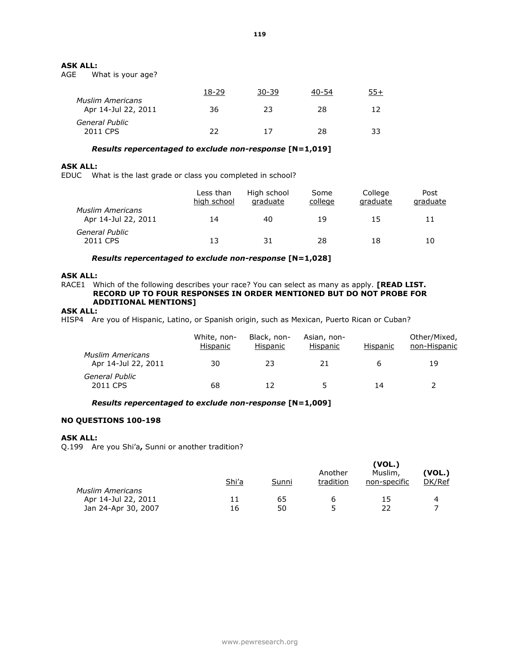# **ASK ALL:**<br>AGE W

What is your age?

|                                                | 18-29 | 30-39 | 40-54 | 55+ |
|------------------------------------------------|-------|-------|-------|-----|
| <b>Muslim Americans</b><br>Apr 14-Jul 22, 2011 | 36    | 23    | 28    | 12  |
| General Public<br>2011 CPS                     | 22    | 17    | 28    | 33  |

# *Results repercentaged to exclude non-response* **[N=1,019]**

#### **ASK ALL:**

EDUC What is the last grade or class you completed in school?

|                                                | Less than<br>high school | High school<br>graduate | Some<br>college | College<br>graduate | Post<br>graduate |
|------------------------------------------------|--------------------------|-------------------------|-----------------|---------------------|------------------|
| <b>Muslim Americans</b><br>Apr 14-Jul 22, 2011 | 14                       | 40                      | 19              | 15                  | 11               |
| General Public<br>2011 CPS                     | 13                       | 31                      | 28              | 18                  | 10               |

*Results repercentaged to exclude non-response* **[N=1,028]**

# **ASK ALL:**

RACE1 Which of the following describes your race? You can select as many as apply. **[READ LIST. RECORD UP TO FOUR RESPONSES IN ORDER MENTIONED BUT DO NOT PROBE FOR ADDITIONAL MENTIONS]**

# **ASK ALL:**

HISP4 Are you of Hispanic, Latino, or Spanish origin, such as Mexican, Puerto Rican or Cuban?

|                                                | White, non-<br>Hispanic | Black, non-<br>Hispanic | Asian, non-<br>Hispanic | Hispanic | Other/Mixed,<br>non-Hispanic |
|------------------------------------------------|-------------------------|-------------------------|-------------------------|----------|------------------------------|
| <b>Muslim Americans</b><br>Apr 14-Jul 22, 2011 | 30                      | 23                      | 21                      |          | 19                           |
| General Public<br>2011 CPS                     | 68                      |                         |                         | 14       |                              |

*Results repercentaged to exclude non-response* **[N=1,009]**

# **NO QUESTIONS 100-198**

# **ASK ALL:**

Q.199 Are you Shi'a**,** Sunni or another tradition?

|                         | Shi'a | Sunni | Another<br>tradition | (VOL.)<br>Muslim,<br>non-specific | (VOL.)<br>DK/Ref |
|-------------------------|-------|-------|----------------------|-----------------------------------|------------------|
| <b>Muslim Americans</b> |       |       |                      |                                   |                  |
| Apr 14-Jul 22, 2011     | 11    | 65    |                      | 15                                | 4                |
| Jan 24-Apr 30, 2007     | 16    | 50    | 5                    | 22                                |                  |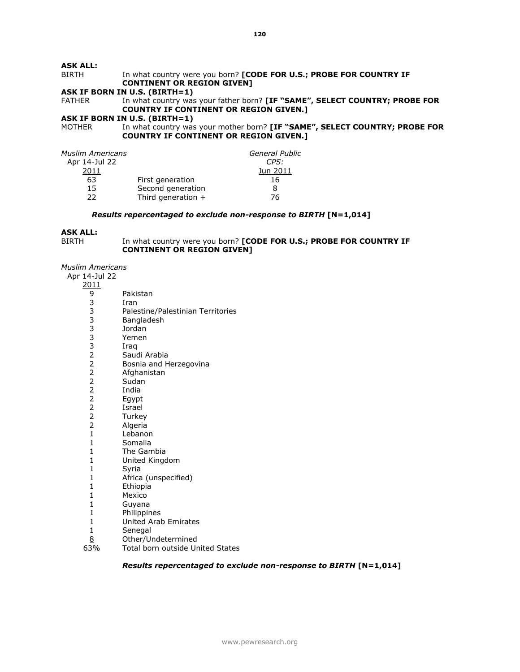# In what country were you born? **[CODE FOR U.S.; PROBE FOR COUNTRY IF CONTINENT OR REGION GIVEN]**

# **ASK IF BORN IN U.S. (BIRTH=1)**

FATHER In what country was your father born? **[IF "SAME", SELECT COUNTRY; PROBE FOR COUNTRY IF CONTINENT OR REGION GIVEN.]** 

# **ASK IF BORN IN U.S. (BIRTH=1)**<br>MOTHER In what country was

In what country was your mother born? **[IF "SAME", SELECT COUNTRY; PROBE FOR COUNTRY IF CONTINENT OR REGION GIVEN.]** 

| Muslim Americans |                      | General Public |
|------------------|----------------------|----------------|
| Apr 14-Jul 22    |                      | CPS:           |
| 2011             |                      | Jun 2011       |
| 63               | First generation     | 16             |
| 15               | Second generation    | 8              |
| つつ               | Third generation $+$ | 76             |

# *Results repercentaged to exclude non-response to BIRTH* **[N=1,014]**

# **ASK ALL:**

| BIRTH | In what country were you born? [CODE FOR U.S.; PROBE FOR COUNTRY IF |
|-------|---------------------------------------------------------------------|
|       | <b>CONTINENT OR REGION GIVENT</b>                                   |

*Muslim Americans*

| Apr 14-Jul 22 |  |
|---------------|--|
| 2011          |  |

| <u> 2011</u>     |                                   |
|------------------|-----------------------------------|
|                  | Pakistan                          |
|                  | Iran                              |
|                  | Palestine/Palestinian Territories |
|                  | Bangladesh                        |
|                  | Jordan                            |
|                  | Yemen                             |
|                  | Iraq                              |
|                  | Saudi Arabia                      |
|                  | Bosnia and Herzegovina            |
|                  | Afghanistan                       |
|                  | Sudan                             |
|                  | India                             |
| 9333333222222221 | Egypt                             |
|                  | Israel                            |
|                  | Turkey                            |
|                  | Algeria                           |
|                  | Lebanon                           |
| $\mathbf{1}$     | Somalia                           |
| $\mathbf{1}$     | The Gambia                        |
| $\mathbf{1}$     | United Kingdom                    |
| $\mathbf 1$      | Syria                             |
| $\mathbf{1}$     | Africa (unspecified)              |
| $\mathbf{1}$     | Ethiopia                          |
| $\mathbf{1}$     | Mexico                            |
| $\mathbf{1}$     | Guyana                            |
| $\mathbf{1}$     | Philippines                       |
| $\mathbf{1}$     | <b>United Arab Emirates</b>       |
| $\mathbf{1}$     | Senegal                           |
| 8                | Other/Undetermined                |
| 63%              | Total born outside United States  |

# *Results repercentaged to exclude non-response to BIRTH* **[N=1,014]**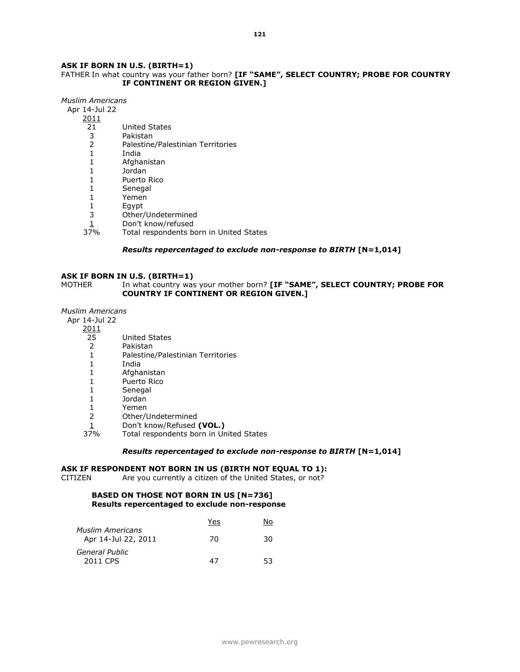# **ASK IF BORN IN U.S. (BIRTH=1)**

# FATHER In what country was your father born? **[IF "SAME", SELECT COUNTRY; PROBE FOR COUNTRY IF CONTINENT OR REGION GIVEN.]**

*Muslim Americans*

Apr 14-Jul 22

- 2011
	- 21 United States
	- 3 Pakistan
	- 2 Palestine/Palestinian Territories
	- 1 India
	- 1 Afghanistan
	- 1 Jordan
	- 1 Puerto Rico
	- 1 Senegal
	- 1 Yemen
	- 1 Egypt
	- 3 Other/Undetermined
	- $\frac{1}{10}$  Don't know/refused<br>37% Total respondents be
	- Total respondents born in United States

# *Results repercentaged to exclude non-response to BIRTH* **[N=1,014]**

# **ASK IF BORN IN U.S. (BIRTH=1)**

MOTHER **In what country was your mother born? [IF "SAME", SELECT COUNTRY; PROBE FOR COUNTRY IF CONTINENT OR REGION GIVEN.]** 

# *Muslim Americans*

Apr 14-Jul 22

- 2011
	- 25 United States<br>2 Pakistan
	- 2 Pakistan<br>1 Palestine
	- 1 Palestine/Palestinian Territories<br>1 India
	- 1 India
	- 1 Afghanistan
	- 1 Puerto Rico
	- 1 Senegal
	- 1 Jordan
	- 1 Yemen
	- 2 Other/Undetermined
	- 1 Don't know/Refused **(VOL.)**<br>37% Total respondents born in Ur
	- Total respondents born in United States

#### *Results repercentaged to exclude non-response to BIRTH* **[N=1,014]**

#### **ASK IF RESPONDENT NOT BORN IN US (BIRTH NOT EQUAL TO 1):**

CITIZEN Are you currently a citizen of the United States, or not?

# **BASED ON THOSE NOT BORN IN US [N=736] Results repercentaged to exclude non-response**

|                                                | Yes | No |
|------------------------------------------------|-----|----|
| <b>Muslim Americans</b><br>Apr 14-Jul 22, 2011 | 70  | 30 |
| General Public                                 |     |    |
| 2011 CPS                                       | 47  | 53 |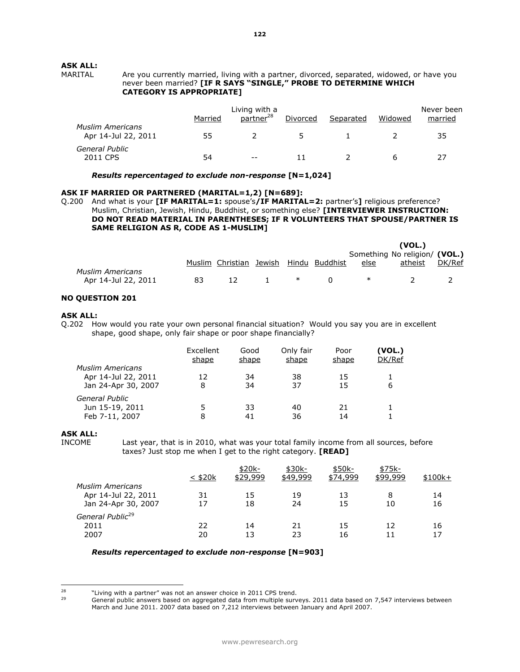Are you currently married, living with a partner, divorced, separated, widowed, or have you never been married? **[IF R SAYS "SINGLE," PROBE TO DETERMINE WHICH CATEGORY IS APPROPRIATE]** 

|                                                | Married | Living with a<br>partner <sup>28</sup> | Divorced | Separated | Widowed | Never been<br>married |
|------------------------------------------------|---------|----------------------------------------|----------|-----------|---------|-----------------------|
| <b>Muslim Americans</b><br>Apr 14-Jul 22, 2011 | 55      |                                        | 5.       |           |         | 35                    |
| General Public<br>2011 CPS                     | 54      | $- -$                                  | 11       |           |         |                       |

*Results repercentaged to exclude non-response* **[N=1,024]**

# **ASK IF MARRIED OR PARTNERED (MARITAL=1,2) [N=689]:**

Q.200 And what is your **[IF MARITAL=1:** spouse's**/IF MARITAL=2:** partner's**]** religious preference? Muslim, Christian, Jewish, Hindu, Buddhist, or something else? **[INTERVIEWER INSTRUCTION: DO NOT READ MATERIAL IN PARENTHESES; IF R VOLUNTEERS THAT SPOUSE/PARTNER IS SAME RELIGION AS R, CODE AS 1-MUSLIM]** 

|                         |    |                         |  |                |      | (VOL.)                        |        |
|-------------------------|----|-------------------------|--|----------------|------|-------------------------------|--------|
|                         |    |                         |  |                |      | Something No religion/ (VOL.) |        |
|                         |    | Muslim Christian Jewish |  | Hindu Buddhist | else | atheist                       | DK/Ref |
| <b>Muslim Americans</b> |    |                         |  |                |      |                               |        |
| Apr 14-Jul 22, 2011     | 83 | 12                      |  |                | ∗    |                               |        |
|                         |    |                         |  |                |      |                               |        |

#### **NO QUESTION 201**

#### **ASK ALL:**

Q.202 How would you rate your own personal financial situation? Would you say you are in excellent shape, good shape, only fair shape or poor shape financially?

|                         | Excellent<br>shape | Good<br>shape | Only fair<br>shape | Poor<br><u>shape</u> | (VOL.)<br>DK/Ref |
|-------------------------|--------------------|---------------|--------------------|----------------------|------------------|
| <b>Muslim Americans</b> |                    |               |                    |                      |                  |
| Apr 14-Jul 22, 2011     | 12                 | 34            | 38                 | 15                   |                  |
| Jan 24-Apr 30, 2007     | 8                  | 34            | 37                 | 15                   | 6                |
| General Public          |                    |               |                    |                      |                  |
| Jun 15-19, 2011         | 5                  | 33            | 40                 | 21                   |                  |
| Feb 7-11, 2007          | 8                  |               | 36                 | 14                   |                  |

# **ASK ALL:**

INCOME Last year, that is in 2010, what was your total family income from all sources, before taxes? Just stop me when I get to the right category. **[READ]** 

|                                                                       | $<$ \$20 $k$ | \$20k-<br>\$29.999 | \$30k-<br>\$49,999 | \$50k-<br>\$74,999 | \$75k-<br>\$99,999 | $$100k+$ |
|-----------------------------------------------------------------------|--------------|--------------------|--------------------|--------------------|--------------------|----------|
| <b>Muslim Americans</b><br>Apr 14-Jul 22, 2011<br>Jan 24-Apr 30, 2007 | 31<br>17     | 15<br>18           | 19<br>24           | 13<br>15           | 8<br>10            | 14<br>16 |
| General Public <sup>29</sup><br>2011<br>2007                          | 22<br>20     | 14<br>13           | 21<br>23           | 15<br>16           | 12<br>11           | 16<br>17 |

# *Results repercentaged to exclude non-response* **[N=903]**

 $28$ <sup>28</sup> "Living with a partner" was not an answer choice in 2011 CPS trend.<br><sup>29</sup> Conoral public anguard based on aggregated data from multiple curve

General public answers based on aggregated data from multiple surveys. 2011 data based on 7,547 interviews between March and June 2011. 2007 data based on 7,212 interviews between January and April 2007.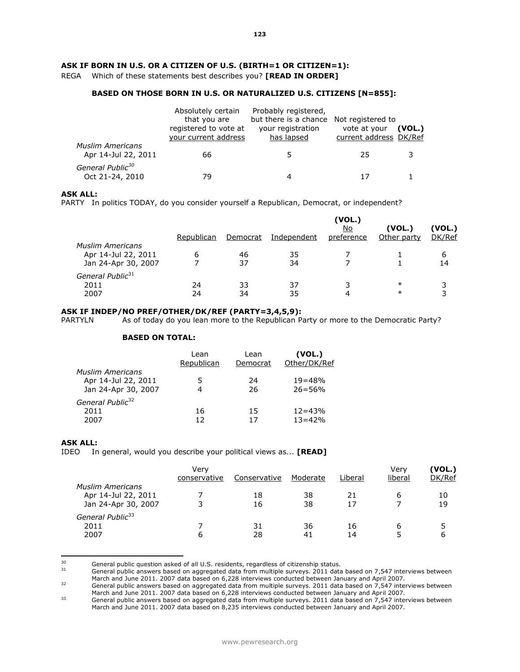# **ASK IF BORN IN U.S. OR A CITIZEN OF U.S. (BIRTH=1 OR CITIZEN=1):**

REGA Which of these statements best describes you? **[READ IN ORDER]** 

# **BASED ON THOSE BORN IN U.S. OR NATURALIZED U.S. CITIZENS [N=855]:**

|                                                 | Absolutely certain<br>that you are<br>registered to vote at | Probably registered,<br>but there is a chance Not registered to<br>your registration | vote at your           | (VOL.) |
|-------------------------------------------------|-------------------------------------------------------------|--------------------------------------------------------------------------------------|------------------------|--------|
|                                                 | your current address                                        | has lapsed                                                                           | current address DK/Ref |        |
| <b>Muslim Americans</b><br>Apr 14-Jul 22, 2011  | 66                                                          | 5.                                                                                   | 25                     |        |
| General Public <sup>30</sup><br>Oct 21-24, 2010 | 79                                                          | 4                                                                                    |                        |        |

# **ASK ALL:**

PARTY In politics TODAY, do you consider yourself a Republican, Democrat, or independent?

|    |            |          | (VOL.)<br><u>No</u> | (VOL.)     | (VOL.)      |
|----|------------|----------|---------------------|------------|-------------|
|    |            |          |                     |            | DK/Ref      |
|    |            |          |                     |            |             |
| 6  | 46         | 35       |                     |            | 6           |
|    | 37         | 34       |                     |            | 14          |
|    |            |          |                     |            |             |
| 24 | 33         | 37       |                     | $\ast$     |             |
| 24 | 34         | 35       | 4                   | $\ast$     | 3           |
|    | Republican | Democrat | Independent         | preference | Other party |

#### **ASK IF INDEP/NO PREF/OTHER/DK/REF (PARTY=3,4,5,9):**

PARTYLN As of today do you lean more to the Republican Party or more to the Democratic Party?

#### **BASED ON TOTAL:**

|                              | Lean       | Lean     | (VOL.)       |
|------------------------------|------------|----------|--------------|
|                              | Republican | Democrat | Other/DK/Ref |
| <b>Muslim Americans</b>      |            |          |              |
| Apr 14-Jul 22, 2011          | 5          | 24       | $19 = 48%$   |
| Jan 24-Apr 30, 2007          |            | 26       | $26 = 56%$   |
| General Public <sup>32</sup> |            |          |              |
| 2011                         | 16         | 15       | $12 = 43%$   |
| 2007                         | 12         |          | $13 = 42%$   |

# **ASK ALL:**

IDEO In general, would you describe your political views as... **[READ]** 

|                                                                       | Verv<br>conservative | Conservative | Moderate | Liberal  | Verv<br>liberal | (VOL.)<br>DK/Ref |
|-----------------------------------------------------------------------|----------------------|--------------|----------|----------|-----------------|------------------|
| <b>Muslim Americans</b><br>Apr 14-Jul 22, 2011<br>Jan 24-Apr 30, 2007 |                      | 18<br>16     | 38<br>38 | 21<br>17 | 6               | 10<br>19         |
| General Public <sup>33</sup><br>2011<br>2007                          | 6                    | 31<br>28     | 36<br>41 | 16<br>14 | 6<br>5          | 5<br>6           |

 $30$  $30$  General public question asked of all U.S. residents, regardless of citizenship status.

General public answers based on aggregated data from multiple surveys. 2011 data based on 7,547 interviews between March and June 2011. 2007 data based on 6,228 interviews conducted between January and April 2007.

<sup>32</sup> General public answers based on aggregated data from multiple surveys. 2011 data based on 7,547 interviews between March and June 2011. 2007 data based on 6,228 interviews conducted between January and April 2007.

<sup>33</sup> General public answers based on aggregated data from multiple surveys. 2011 data based on 7,547 interviews between March and June 2011. 2007 data based on 8,235 interviews conducted between January and April 2007.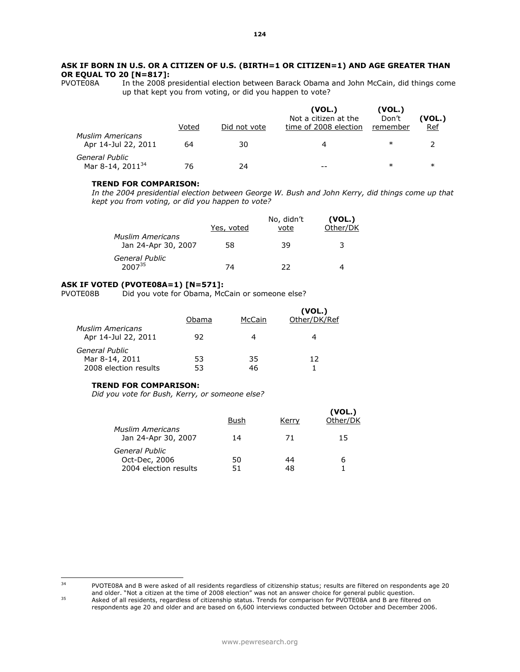# **ASK IF BORN IN U.S. OR A CITIZEN OF U.S. (BIRTH=1 OR CITIZEN=1) AND AGE GREATER THAN OR EQUAL TO 20 [N=817]:**<br>**PVOTE08A** In the 2008 p

In the 2008 presidential election between Barack Obama and John McCain, did things come up that kept you from voting, or did you happen to vote?

|                                                | Voted | Did not vote | (VOL.)<br>Not a citizen at the<br>time of 2008 election | (VOL.)<br>Don't<br>remember | (VOL.)<br><u>Ref</u> |
|------------------------------------------------|-------|--------------|---------------------------------------------------------|-----------------------------|----------------------|
| <b>Muslim Americans</b><br>Apr 14-Jul 22, 2011 | 64    | 30           | 4                                                       | $\ast$                      |                      |
| General Public<br>Mar 8-14, 2011 <sup>34</sup> |       | 24           | --                                                      | $\ast$                      | $\ast$               |

#### **TREND FOR COMPARISON:**

*In the 2004 presidential election between George W. Bush and John Kerry, did things come up that kept you from voting, or did you happen to vote?*

|                                                | Yes, voted | No, didn't<br>vote | (VOL.)<br>Other/DK |
|------------------------------------------------|------------|--------------------|--------------------|
| <b>Muslim Americans</b><br>Jan 24-Apr 30, 2007 | 58         | 39                 | 3                  |
| General Public<br>$2007^{35}$                  | 74         | つつ                 |                    |

# **ASK IF VOTED (PVOTE08A=1) [N=571]:**

PVOTE08B Did you vote for Obama, McCain or someone else?

| <b>Muslim Americans</b>                                   | Obama    | McCain   | (VOL.)<br>Other/DK/Ref |
|-----------------------------------------------------------|----------|----------|------------------------|
| Apr 14-Jul 22, 2011                                       | 92       | 4        |                        |
| General Public<br>Mar 8-14, 2011<br>2008 election results | 53<br>53 | 35<br>46 | 12                     |

# **TREND FOR COMPARISON:**

*Did you vote for Bush, Kerry, or someone else?*

|                                                          | Bush     | Kerry | (VOL.)<br>Other/DK |
|----------------------------------------------------------|----------|-------|--------------------|
| <b>Muslim Americans</b><br>Jan 24-Apr 30, 2007           | 14       | 71    | 15                 |
| General Public<br>Oct-Dec, 2006<br>2004 election results | 50<br>51 | 44    | 6                  |

<sup>34</sup> PVOTE08A and B were asked of all residents regardless of citizenship status; results are filtered on respondents age 20 and older. "Not a citizen at the time of 2008 election" was not an answer choice for general public question. <sup>35</sup> Asked of all residents, regardless of citizenship status. Trends for comparison for PVOTE08A and B are filtered on

respondents age 20 and older and are based on 6,600 interviews conducted between October and December 2006.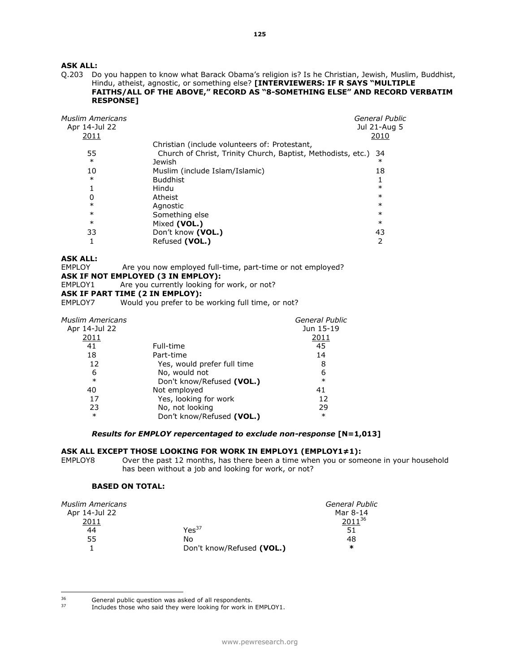Q.203 Do you happen to know what Barack Obama's religion is? Is he Christian, Jewish, Muslim, Buddhist, Hindu, atheist, agnostic, or something else? **[INTERVIEWERS: IF R SAYS "MULTIPLE FAITHS/ALL OF THE ABOVE," RECORD AS "8-SOMETHING ELSE" AND RECORD VERBATIM RESPONSE]** 

| <b>Muslim Americans</b><br>Apr 14-Jul 22<br>2011 |                                                              | General Public<br>Jul 21-Aug 5<br>2010 |
|--------------------------------------------------|--------------------------------------------------------------|----------------------------------------|
|                                                  | Christian (include volunteers of: Protestant,                |                                        |
| 55                                               | Church of Christ, Trinity Church, Baptist, Methodists, etc.) | 34                                     |
| $\ast$                                           | Jewish                                                       | $\ast$                                 |
| 10                                               | Muslim (include Islam/Islamic)                               | 18                                     |
| $\ast$                                           | <b>Buddhist</b>                                              |                                        |
|                                                  | Hindu                                                        | $\ast$                                 |
| 0                                                | Atheist                                                      | $\ast$                                 |
| $\ast$                                           | Agnostic                                                     | $\ast$                                 |
| $\ast$                                           | Something else                                               | $\ast$                                 |
| $\ast$                                           | Mixed (VOL.)                                                 | $\ast$                                 |
| 33                                               | Don't know (VOL.)                                            | 43                                     |
|                                                  | Refused (VOL.)                                               |                                        |

# **ASK ALL:**

EMPLOY Are you now employed full-time, part-time or not employed?

# **ASK IF NOT EMPLOYED (3 IN EMPLOY):**

EMPLOY1 Are you currently looking for work, or not?

# **ASK IF PART TIME (2 IN EMPLOY):**

EMPLOY7 Would you prefer to be working full time, or not?

| <b>Muslim Americans</b> |                             | <b>General Public</b> |
|-------------------------|-----------------------------|-----------------------|
| Apr 14-Jul 22           |                             | Jun 15-19             |
| 2011                    |                             | <u> 2011</u>          |
| 41                      | Full-time                   | 45                    |
| 18                      | Part-time                   | 14                    |
| 12                      | Yes, would prefer full time | 8                     |
| 6                       | No, would not               | 6                     |
| $\ast$                  | Don't know/Refused (VOL.)   | $\ast$                |
| 40                      | Not employed                | 41                    |
| 17                      | Yes, looking for work       | 12                    |
| 23                      | No, not looking             | 29                    |
| $\ast$                  | Don't know/Refused (VOL.)   | $\ast$                |

# *Results for EMPLOY repercentaged to exclude non-response* **[N=1,013]**

#### **ASK ALL EXCEPT THOSE LOOKING FOR WORK IN EMPLOY1 (EMPLOY1≠1):**

EMPLOY8 Over the past 12 months, has there been a time when you or someone in your household has been without a job and looking for work, or not?

# **BASED ON TOTAL:**

| <b>Muslim Americans</b> |                           | General Public |
|-------------------------|---------------------------|----------------|
| Apr 14-Jul 22           |                           | Mar 8-14       |
| 2011                    |                           | $2011^{36}$    |
| 44                      | Yes <sup>37</sup>         | 51             |
| 55                      | No                        | 48             |
|                         | Don't know/Refused (VOL.) | $\ast$         |

<sup>36</sup>  $35$  General public question was asked of all respondents.<br> $37$  Encludes those who said they were looking for work in

Includes those who said they were looking for work in EMPLOY1.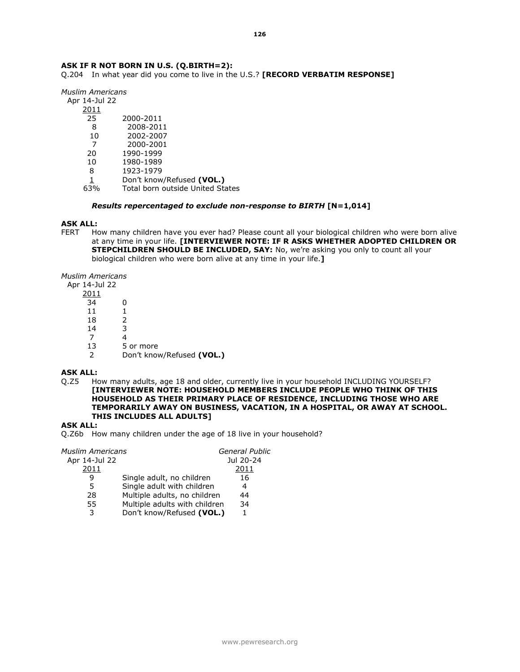# **ASK IF R NOT BORN IN U.S. (Q.BIRTH=2):**

Q.204 In what year did you come to live in the U.S.? **[RECORD VERBATIM RESPONSE]** 

*Muslim Americans*

- Apr 14-Jul 22
	- 2011
	- 25 2000-2011
	- 8 2008-2011
	- 10 2002-2007
	-
	- 7 2000-2001 1990-1999
	- 10 1980-1989
	- 8 1923-1979
	-
	- 1 Don't know/Refused **(VOL.)** 63% Total born outside United States

#### *Results repercentaged to exclude non-response to BIRTH* **[N=1,014]**

#### **ASK ALL:**

FERT How many children have you ever had? Please count all your biological children who were born alive at any time in your life. **[INTERVIEWER NOTE: IF R ASKS WHETHER ADOPTED CHILDREN OR STEPCHILDREN SHOULD BE INCLUDED, SAY:** No, we're asking you only to count all your biological children who were born alive at any time in your life.**]** 

*Muslim Americans*

Apr 14-Jul 2

| 14-JUI 22     |                           |
|---------------|---------------------------|
| 2011          |                           |
| 34            | O                         |
| 11            |                           |
| 18            | $\mathcal{P}$             |
| 14            | 3                         |
| 7             |                           |
| 13            | 5 or more                 |
| $\mathcal{P}$ | Don't know/Refused (VOL.) |

# **ASK ALL:**

Q.Z5 How many adults, age 18 and older, currently live in your household INCLUDING YOURSELF? **[INTERVIEWER NOTE: HOUSEHOLD MEMBERS INCLUDE PEOPLE WHO THINK OF THIS HOUSEHOLD AS THEIR PRIMARY PLACE OF RESIDENCE, INCLUDING THOSE WHO ARE TEMPORARILY AWAY ON BUSINESS, VACATION, IN A HOSPITAL, OR AWAY AT SCHOOL. THIS INCLUDES ALL ADULTS]** 

# **ASK ALL:**

Q.Z6b How many children under the age of 18 live in your household?

| Muslim Americans |                               | <b>General Public</b> |
|------------------|-------------------------------|-----------------------|
| Apr 14-Jul 22    |                               | Jul 20-24             |
| 2011             |                               | 2011                  |
| q                | Single adult, no children     | 16                    |
| 5                | Single adult with children    |                       |
| 28               | Multiple adults, no children  | 44                    |
| 55               | Multiple adults with children | 34                    |
| 3                | Don't know/Refused (VOL.)     |                       |